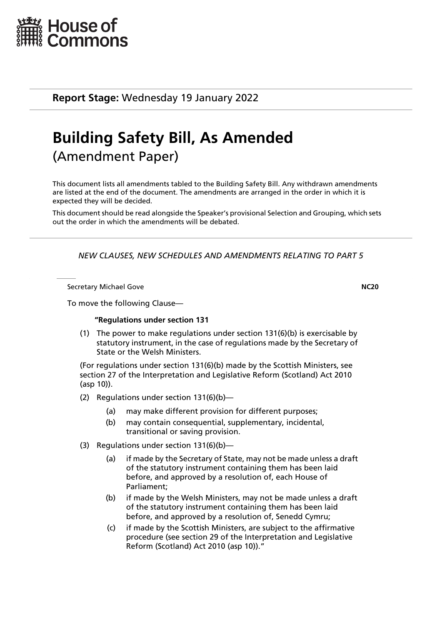

**Report Stage:** Wednesday 19 January 2022

# **Building Safety Bill, As Amended**  (Amendment Paper)

This document lists all amendments tabled to the Building Safety Bill. Any withdrawn amendments are listed at the end of the document. The amendments are arranged in the order in which it is expected they will be decided.

This document should be read alongside the Speaker's provisional Selection and Grouping, which sets out the order in which the amendments will be debated.

*NEW CLAUSES, NEW SCHEDULES AND AMENDMENTS RELATING TO PART 5*

Secretary Michael Gove **NC20**

To move the following Clause—

# **"Regulations under section 131**

(1) The power to make regulations under section 131(6)(b) is exercisable by statutory instrument, in the case of regulations made by the Secretary of State or the Welsh Ministers.

(For regulations under section 131(6)(b) made by the Scottish Ministers, see section 27 of the Interpretation and Legislative Reform (Scotland) Act 2010 (asp 10)).

- (2) Regulations under section 131(6)(b)—
	- (a) may make different provision for different purposes;
	- (b) may contain consequential, supplementary, incidental, transitional or saving provision.
- (3) Regulations under section 131(6)(b)—
	- (a) if made by the Secretary of State, may not be made unless a draft of the statutory instrument containing them has been laid before, and approved by a resolution of, each House of Parliament;
	- (b) if made by the Welsh Ministers, may not be made unless a draft of the statutory instrument containing them has been laid before, and approved by a resolution of, Senedd Cymru;
	- (c) if made by the Scottish Ministers, are subject to the affirmative procedure (see section 29 of the Interpretation and Legislative Reform (Scotland) Act 2010 (asp 10))."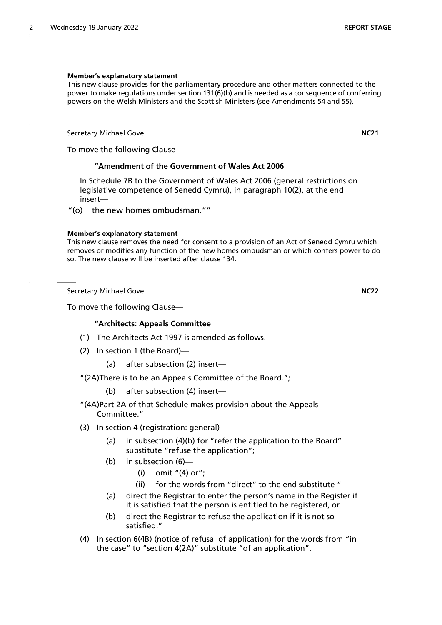### **Member's explanatory statement**

This new clause provides for the parliamentary procedure and other matters connected to the power to make regulations under section 131(6)(b) and is needed as a consequence of conferring powers on the Welsh Ministers and the Scottish Ministers (see Amendments 54 and 55).

Secretary Michael Gove **NC21**

To move the following Clause—

# **"Amendment of the Government of Wales Act 2006**

In Schedule 7B to the Government of Wales Act 2006 (general restrictions on legislative competence of Senedd Cymru), in paragraph 10(2), at the end insert—

"(o) the new homes ombudsman.""

#### **Member's explanatory statement**

This new clause removes the need for consent to a provision of an Act of Senedd Cymru which removes or modifies any function of the new homes ombudsman or which confers power to do so. The new clause will be inserted after clause 134.

Secretary Michael Gove **NC22**

To move the following Clause—

# **"Architects: Appeals Committee**

- (1) The Architects Act 1997 is amended as follows.
- (2) In section 1 (the Board)—
	- (a) after subsection (2) insert—

"(2A)There is to be an Appeals Committee of the Board.";

- (b) after subsection (4) insert—
- "(4A)Part 2A of that Schedule makes provision about the Appeals Committee."
- (3) In section 4 (registration: general)—
	- (a) in subsection (4)(b) for "refer the application to the Board" substitute "refuse the application";
	- (b) in subsection (6)—
		- (i) omit "(4) or";
		- (ii) for the words from "direct" to the end substitute "—
	- (a) direct the Registrar to enter the person's name in the Register if it is satisfied that the person is entitled to be registered, or
	- (b) direct the Registrar to refuse the application if it is not so satisfied."
- (4) In section 6(4B) (notice of refusal of application) for the words from "in the case" to "section 4(2A)" substitute "of an application".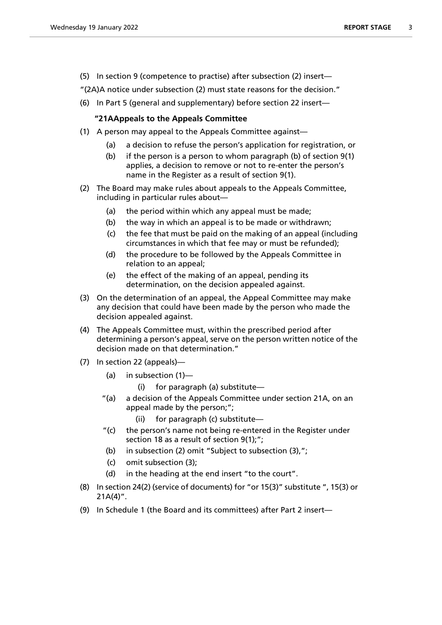(5) In section 9 (competence to practise) after subsection (2) insert—

"(2A)A notice under subsection (2) must state reasons for the decision."

(6) In Part 5 (general and supplementary) before section 22 insert—

# **"21AAppeals to the Appeals Committee**

- (1) A person may appeal to the Appeals Committee against—
	- (a) a decision to refuse the person's application for registration, or
	- (b) if the person is a person to whom paragraph (b) of section 9(1) applies, a decision to remove or not to re-enter the person's name in the Register as a result of section 9(1).
- (2) The Board may make rules about appeals to the Appeals Committee, including in particular rules about—
	- (a) the period within which any appeal must be made;
	- (b) the way in which an appeal is to be made or withdrawn;
	- (c) the fee that must be paid on the making of an appeal (including circumstances in which that fee may or must be refunded);
	- (d) the procedure to be followed by the Appeals Committee in relation to an appeal;
	- (e) the effect of the making of an appeal, pending its determination, on the decision appealed against.
- (3) On the determination of an appeal, the Appeal Committee may make any decision that could have been made by the person who made the decision appealed against.
- (4) The Appeals Committee must, within the prescribed period after determining a person's appeal, serve on the person written notice of the decision made on that determination."
- (7) In section 22 (appeals)—
	- (a) in subsection (1)
		- for paragraph (a) substitute—
	- "(a) a decision of the Appeals Committee under section 21A, on an appeal made by the person;";
		- (ii) for paragraph (c) substitute—
	- "(c) the person's name not being re-entered in the Register under section 18 as a result of section 9(1);";
	- (b) in subsection (2) omit "Subject to subsection (3),";
	- (c) omit subsection (3);
	- (d) in the heading at the end insert "to the court".
- (8) In section 24(2) (service of documents) for "or 15(3)" substitute ", 15(3) or  $21A(4)$ ".
- (9) In Schedule 1 (the Board and its committees) after Part 2 insert—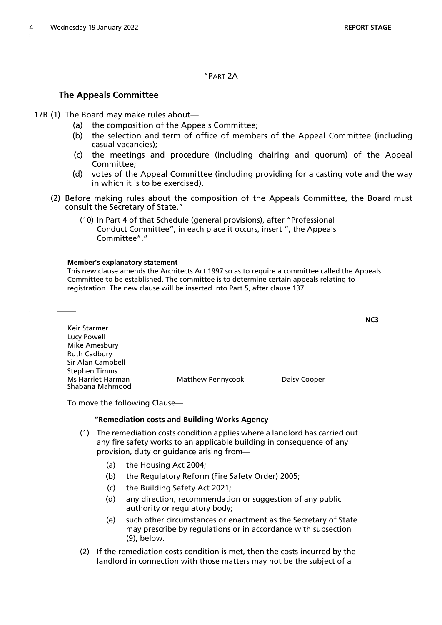"PART 2A

# **The Appeals Committee**

- 17B (1) The Board may make rules about—
	- (a) the composition of the Appeals Committee;
	- (b) the selection and term of office of members of the Appeal Committee (including casual vacancies);
	- (c) the meetings and procedure (including chairing and quorum) of the Appeal Committee;
	- (d) votes of the Appeal Committee (including providing for a casting vote and the way in which it is to be exercised).
	- (2) Before making rules about the composition of the Appeals Committee, the Board must consult the Secretary of State."
		- (10) In Part 4 of that Schedule (general provisions), after "Professional Conduct Committee", in each place it occurs, insert ", the Appeals Committee" "

# **Member's explanatory statement**

This new clause amends the Architects Act 1997 so as to require a committee called the Appeals Committee to be established. The committee is to determine certain appeals relating to registration. The new clause will be inserted into Part 5, after clause 137.

| Keir Starmer                                |                          |              |
|---------------------------------------------|--------------------------|--------------|
| Lucy Powell                                 |                          |              |
| Mike Amesbury                               |                          |              |
| <b>Ruth Cadbury</b>                         |                          |              |
| Sir Alan Campbell                           |                          |              |
| <b>Stephen Timms</b>                        |                          |              |
| <b>Ms Harriet Harman</b><br>Shabana Mahmood | <b>Matthew Pennycook</b> | Daisy Cooper |

To move the following Clause—

# **"Remediation costs and Building Works Agency**

- (1) The remediation costs condition applies where a landlord has carried out any fire safety works to an applicable building in consequence of any provision, duty or guidance arising from—
	- (a) the Housing Act 2004;
	- (b) the Regulatory Reform (Fire Safety Order) 2005;
	- (c) the Building Safety Act 2021;
	- (d) any direction, recommendation or suggestion of any public authority or regulatory body;
	- (e) such other circumstances or enactment as the Secretary of State may prescribe by regulations or in accordance with subsection (9), below.
- (2) If the remediation costs condition is met, then the costs incurred by the landlord in connection with those matters may not be the subject of a

**NC3**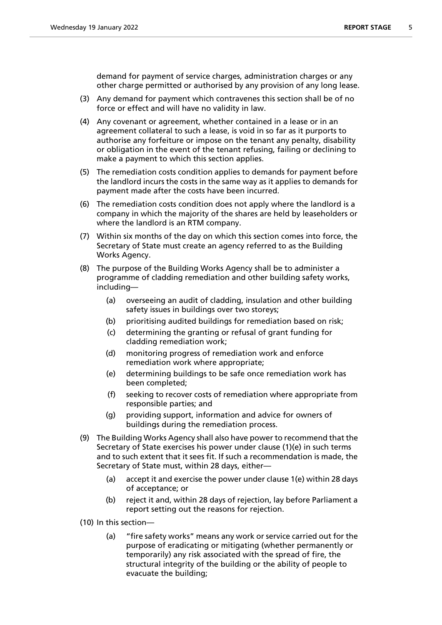demand for payment of service charges, administration charges or any other charge permitted or authorised by any provision of any long lease.

- (3) Any demand for payment which contravenes this section shall be of no force or effect and will have no validity in law.
- (4) Any covenant or agreement, whether contained in a lease or in an agreement collateral to such a lease, is void in so far as it purports to authorise any forfeiture or impose on the tenant any penalty, disability or obligation in the event of the tenant refusing, failing or declining to make a payment to which this section applies.
- (5) The remediation costs condition applies to demands for payment before the landlord incurs the costs in the same way as it applies to demands for payment made after the costs have been incurred.
- (6) The remediation costs condition does not apply where the landlord is a company in which the majority of the shares are held by leaseholders or where the landlord is an RTM company.
- (7) Within six months of the day on which this section comes into force, the Secretary of State must create an agency referred to as the Building Works Agency.
- (8) The purpose of the Building Works Agency shall be to administer a programme of cladding remediation and other building safety works, including—
	- (a) overseeing an audit of cladding, insulation and other building safety issues in buildings over two storeys;
	- (b) prioritising audited buildings for remediation based on risk;
	- (c) determining the granting or refusal of grant funding for cladding remediation work;
	- (d) monitoring progress of remediation work and enforce remediation work where appropriate;
	- (e) determining buildings to be safe once remediation work has been completed;
	- (f) seeking to recover costs of remediation where appropriate from responsible parties; and
	- (g) providing support, information and advice for owners of buildings during the remediation process.
- (9) The Building Works Agency shall also have power to recommend that the Secretary of State exercises his power under clause (1)(e) in such terms and to such extent that it sees fit. If such a recommendation is made, the Secretary of State must, within 28 days, either—
	- (a) accept it and exercise the power under clause 1(e) within 28 days of acceptance; or
	- (b) reject it and, within 28 days of rejection, lay before Parliament a report setting out the reasons for rejection.
- (10) In this section—
	- (a) "fire safety works" means any work or service carried out for the purpose of eradicating or mitigating (whether permanently or temporarily) any risk associated with the spread of fire, the structural integrity of the building or the ability of people to evacuate the building;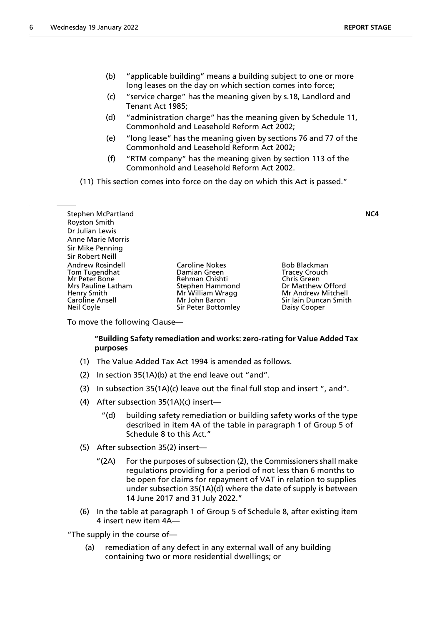- (b) "applicable building" means a building subject to one or more long leases on the day on which section comes into force;
- (c) "service charge" has the meaning given by s.18, Landlord and Tenant Act 1985;
- (d) "administration charge" has the meaning given by Schedule 11, Commonhold and Leasehold Reform Act 2002;
- (e) "long lease" has the meaning given by sections 76 and 77 of the Commonhold and Leasehold Reform Act 2002;
- (f) "RTM company" has the meaning given by section 113 of the Commonhold and Leasehold Reform Act 2002.

(11) This section comes into force on the day on which this Act is passed."

Stephen McPartland **NC4** Royston Smith Dr Julian Lewis Anne Marie Morris Sir Mike Penning Sir Robert Neill Andrew Rosindell **Caroline Nokes** Bob Blackman<br>
Tom Tugendhat **Bootland Bamian Green** Bootland Tracey Crouch Tom Tugendhat Damian Green Tracey Crouch Mrs Pauline Latham Stephen Hammond Dr Matthew Offord<br>Henry Smith Dr Matthell Mr William Wragg Nr Andrew Mitchell Henry Smith Mr Mr William Wragg Caroline Ansell<br>Caroline Ansell Mr John Baron Neil Coyle Sir Peter Bottomley Daisy Cooper

Rehman Chishti

Sir Iain Duncan Smith

To move the following Clause—

# **"Building Safety remediation and works: zero-rating for Value Added Tax purposes**

- (1) The Value Added Tax Act 1994 is amended as follows.
- (2) In section 35(1A)(b) at the end leave out "and".
- (3) In subsection 35(1A)(c) leave out the final full stop and insert ", and".
- (4) After subsection 35(1A)(c) insert—
	- "(d) building safety remediation or building safety works of the type described in item 4A of the table in paragraph 1 of Group 5 of Schedule 8 to this Act."
- (5) After subsection 35(2) insert—
	- "(2A) For the purposes of subsection (2), the Commissioners shall make regulations providing for a period of not less than 6 months to be open for claims for repayment of VAT in relation to supplies under subsection 35(1A)(d) where the date of supply is between 14 June 2017 and 31 July 2022."
- (6) In the table at paragraph 1 of Group 5 of Schedule 8, after existing item 4 insert new item 4A—

"The supply in the course of—

(a) remediation of any defect in any external wall of any building containing two or more residential dwellings; or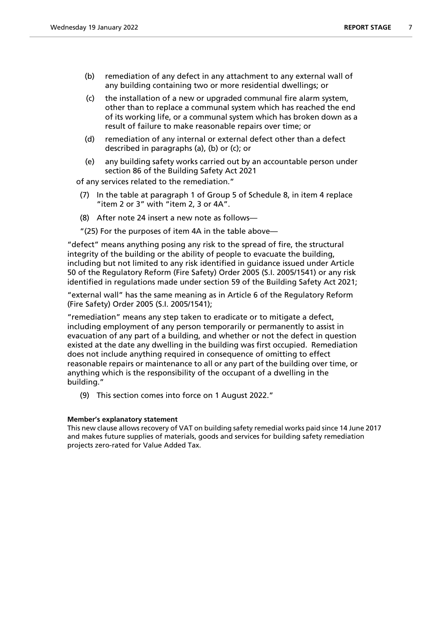- (b) remediation of any defect in any attachment to any external wall of any building containing two or more residential dwellings; or
- (c) the installation of a new or upgraded communal fire alarm system, other than to replace a communal system which has reached the end of its working life, or a communal system which has broken down as a result of failure to make reasonable repairs over time; or
- (d) remediation of any internal or external defect other than a defect described in paragraphs (a), (b) or (c); or
- (e) any building safety works carried out by an accountable person under section 86 of the Building Safety Act 2021

of any services related to the remediation."

- (7) In the table at paragraph 1 of Group 5 of Schedule 8, in item 4 replace "item 2 or 3" with "item 2, 3 or 4A".
- (8) After note 24 insert a new note as follows—

"(25) For the purposes of item 4A in the table above—

"defect" means anything posing any risk to the spread of fire, the structural integrity of the building or the ability of people to evacuate the building, including but not limited to any risk identified in guidance issued under Article 50 of the Regulatory Reform (Fire Safety) Order 2005 (S.I. 2005/1541) or any risk identified in regulations made under section 59 of the Building Safety Act 2021;

"external wall" has the same meaning as in Article 6 of the Regulatory Reform (Fire Safety) Order 2005 (S.I. 2005/1541);

"remediation" means any step taken to eradicate or to mitigate a defect, including employment of any person temporarily or permanently to assist in evacuation of any part of a building, and whether or not the defect in question existed at the date any dwelling in the building was first occupied. Remediation does not include anything required in consequence of omitting to effect reasonable repairs or maintenance to all or any part of the building over time, or anything which is the responsibility of the occupant of a dwelling in the building."

(9) This section comes into force on 1 August 2022."

# **Member's explanatory statement**

This new clause allows recovery of VAT on building safety remedial works paid since 14 June 2017 and makes future supplies of materials, goods and services for building safety remediation projects zero-rated for Value Added Tax.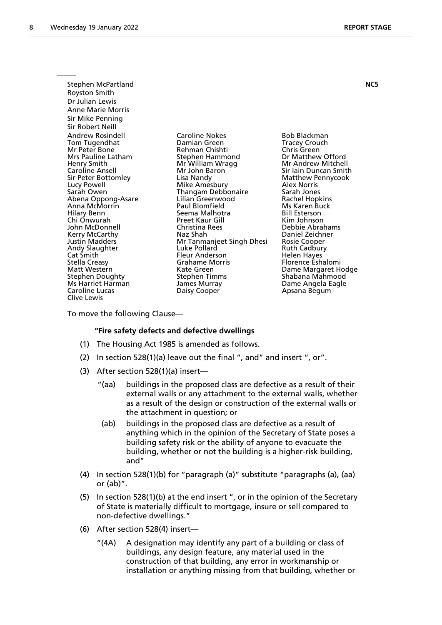| Stephen McPartland                                                                                                                                                                                                                                                                                                                                                                                                                               |                                                                                                                                                                                                                                                                                                                                                                                                                                             |                                                                                                                                                                                                                                                                                                                                                                                                                                               | NC5 |
|--------------------------------------------------------------------------------------------------------------------------------------------------------------------------------------------------------------------------------------------------------------------------------------------------------------------------------------------------------------------------------------------------------------------------------------------------|---------------------------------------------------------------------------------------------------------------------------------------------------------------------------------------------------------------------------------------------------------------------------------------------------------------------------------------------------------------------------------------------------------------------------------------------|-----------------------------------------------------------------------------------------------------------------------------------------------------------------------------------------------------------------------------------------------------------------------------------------------------------------------------------------------------------------------------------------------------------------------------------------------|-----|
| Royston Smith                                                                                                                                                                                                                                                                                                                                                                                                                                    |                                                                                                                                                                                                                                                                                                                                                                                                                                             |                                                                                                                                                                                                                                                                                                                                                                                                                                               |     |
| Dr Julian Lewis                                                                                                                                                                                                                                                                                                                                                                                                                                  |                                                                                                                                                                                                                                                                                                                                                                                                                                             |                                                                                                                                                                                                                                                                                                                                                                                                                                               |     |
| <b>Anne Marie Morris</b>                                                                                                                                                                                                                                                                                                                                                                                                                         |                                                                                                                                                                                                                                                                                                                                                                                                                                             |                                                                                                                                                                                                                                                                                                                                                                                                                                               |     |
| Sir Mike Penning                                                                                                                                                                                                                                                                                                                                                                                                                                 |                                                                                                                                                                                                                                                                                                                                                                                                                                             |                                                                                                                                                                                                                                                                                                                                                                                                                                               |     |
| Sir Robert Neill                                                                                                                                                                                                                                                                                                                                                                                                                                 |                                                                                                                                                                                                                                                                                                                                                                                                                                             |                                                                                                                                                                                                                                                                                                                                                                                                                                               |     |
| Andrew Rosindell<br>Tom Tugendhat<br>Mr Peter Bone<br>Mrs Pauline Latham<br>Henry Smith<br>Caroline Ansell<br>Sir Peter Bottomley<br>Lucy Powell<br>Sarah Owen<br>Abena Oppong-Asare<br>Anna McMorrin<br>Hilary Benn<br>Chi Onwurah<br>John McDonnell<br>Kerry McCarthy<br><b>Justin Madders</b><br>Andy Slaughter<br>Cat Smith<br>Stella Creasy<br>Matt Western<br><b>Stephen Doughty</b><br>Ms Harriet Harman<br>Caroline Lucas<br>Clive Lewis | <b>Caroline Nokes</b><br>Damian Green<br>Rehman Chishti<br>Stephen Hammond<br>Mr William Wragg<br>Mr John Baron<br>Lisa Nandy<br>Mike Amesbury<br>Thangam Debbonaire<br>Lilian Greenwood<br>Paul Blomfield<br>Seema Malhotra<br><b>Preet Kaur Gill</b><br>Christina Rees<br>Naz Shah<br>Mr Tanmanjeet Singh Dhesi<br>Luke Pollard<br><b>Fleur Anderson</b><br>Grahame Morris<br>Kate Green<br>Stephen Timms<br>James Murray<br>Daisy Cooper | Bob Blackman<br><b>Tracey Crouch</b><br>Chris Green<br>Dr Matthew Offord<br>Mr Andrew Mitchell<br>Sir Iain Duncan Smith<br>Matthew Pennycook<br>Alex Norris<br>Sarah Jones<br>Rachel Hopkins<br>Ms Karen Buck<br><b>Bill Esterson</b><br>Kim Johnson<br>Debbie Abrahams<br>Daniel Zeichner<br>Rosie Cooper<br>Ruth Cadbury<br>Helen Hayes<br>Florence Eshalomi<br>Dame Margaret Hodge<br>Shabana Mahmood<br>Dame Angela Eagle<br>Apsana Begum |     |
|                                                                                                                                                                                                                                                                                                                                                                                                                                                  |                                                                                                                                                                                                                                                                                                                                                                                                                                             |                                                                                                                                                                                                                                                                                                                                                                                                                                               |     |

To move the following Clause—

#### **"Fire safety defects and defective dwellings**

- (1) The Housing Act 1985 is amended as follows.
- (2) In section 528(1)(a) leave out the final ", and" and insert ", or".
- (3) After section 528(1)(a) insert—
	- "(aa) buildings in the proposed class are defective as a result of their external walls or any attachment to the external walls, whether as a result of the design or construction of the external walls or the attachment in question; or
	- (ab) buildings in the proposed class are defective as a result of anything which in the opinion of the Secretary of State poses a building safety risk or the ability of anyone to evacuate the building, whether or not the building is a higher-risk building, and"
- (4) In section 528(1)(b) for "paragraph (a)" substitute "paragraphs (a), (aa) or (ab)".
- (5) In section 528(1)(b) at the end insert ", or in the opinion of the Secretary of State is materially difficult to mortgage, insure or sell compared to non-defective dwellings."
- (6) After section 528(4) insert—
	- "(4A) A designation may identify any part of a building or class of buildings, any design feature, any material used in the construction of that building, any error in workmanship or installation or anything missing from that building, whether or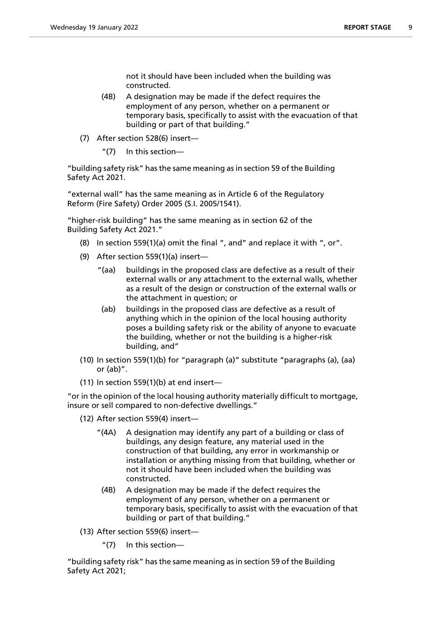not it should have been included when the building was constructed.

- (4B) A designation may be made if the defect requires the employment of any person, whether on a permanent or temporary basis, specifically to assist with the evacuation of that building or part of that building."
- (7) After section 528(6) insert—
	- "(7) In this section—

"building safety risk" has the same meaning as in section 59 of the Building Safety Act 2021.

"external wall" has the same meaning as in Article 6 of the Regulatory Reform (Fire Safety) Order 2005 (S.I. 2005/1541).

"higher-risk building" has the same meaning as in section 62 of the Building Safety Act 2021."

- (8) In section 559(1)(a) omit the final ", and" and replace it with ", or".
- (9) After section 559(1)(a) insert—
	- "(aa) buildings in the proposed class are defective as a result of their external walls or any attachment to the external walls, whether as a result of the design or construction of the external walls or the attachment in question; or
	- (ab) buildings in the proposed class are defective as a result of anything which in the opinion of the local housing authority poses a building safety risk or the ability of anyone to evacuate the building, whether or not the building is a higher-risk building, and"
- (10) In section 559(1)(b) for "paragraph (a)" substitute "paragraphs (a), (aa) or (ab)".
- (11) In section 559(1)(b) at end insert—

"or in the opinion of the local housing authority materially difficult to mortgage, insure or sell compared to non-defective dwellings."

- (12) After section 559(4) insert—
	- "(4A) A designation may identify any part of a building or class of buildings, any design feature, any material used in the construction of that building, any error in workmanship or installation or anything missing from that building, whether or not it should have been included when the building was constructed.
	- (4B) A designation may be made if the defect requires the employment of any person, whether on a permanent or temporary basis, specifically to assist with the evacuation of that building or part of that building."
- (13) After section 559(6) insert—
	- "(7) In this section—

"building safety risk" has the same meaning as in section 59 of the Building Safety Act 2021;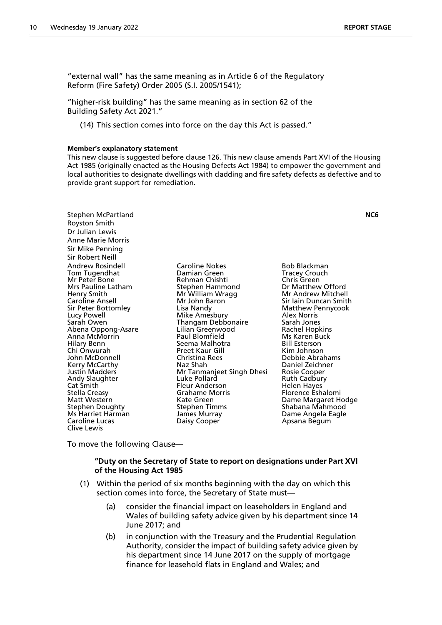"external wall" has the same meaning as in Article 6 of the Regulatory Reform (Fire Safety) Order 2005 (S.I. 2005/1541);

"higher-risk building" has the same meaning as in section 62 of the Building Safety Act 2021."

(14) This section comes into force on the day this Act is passed."

#### **Member's explanatory statement**

This new clause is suggested before clause 126. This new clause amends Part XVI of the Housing Act 1985 (originally enacted as the Housing Defects Act 1984) to empower the government and local authorities to designate dwellings with cladding and fire safety defects as defective and to provide grant support for remediation.

| Stephen McPartland<br>Royston Smith<br>Dr Julian Lewis<br><b>Anne Marie Morris</b><br>Sir Mike Penning<br>Sir Robert Neill                                                                                                                                                                                                                                                                                                                |                                                                                                                                                                                                                                                                                                                                                                                                                               |                                                                                                                                                                                                                                                                                                                                                                                                                                                                    | NC6 |
|-------------------------------------------------------------------------------------------------------------------------------------------------------------------------------------------------------------------------------------------------------------------------------------------------------------------------------------------------------------------------------------------------------------------------------------------|-------------------------------------------------------------------------------------------------------------------------------------------------------------------------------------------------------------------------------------------------------------------------------------------------------------------------------------------------------------------------------------------------------------------------------|--------------------------------------------------------------------------------------------------------------------------------------------------------------------------------------------------------------------------------------------------------------------------------------------------------------------------------------------------------------------------------------------------------------------------------------------------------------------|-----|
| Andrew Rosindell<br>Tom Tugendhat<br>Mr Peter Bone<br>Mrs Pauline Latham<br>Henry Smith<br>Caroline Ansell<br>Sir Peter Bottomley<br>Lucy Powell<br>Sarah Owen<br>Abena Oppong-Asare<br>Anna McMorrin<br>Hilary Benn<br>Chi Onwurah<br>John McDonnell<br>Kerry McCarthy<br>Justin Madders<br>Andy Slaughter<br>Cat Smith<br>Stella Creasy<br>Matt Western<br><b>Stephen Doughty</b><br>Ms Harriet Harman<br>Caroline Lucas<br>Clive Lewis | Caroline Nokes<br>Damian Green<br>Rehman Chishti<br>Stephen Hammond<br>Mr William Wragg<br>Mr John Baron<br>Lisa Nandy<br>Mike Amesbury<br>Thangam Debbonaire<br>Lilian Greenwood<br>Paul Blomfield<br>Seema Malhotra<br><b>Preet Kaur Gill</b><br>Christina Rees<br>Naz Shah<br>Mr Tanmanjeet Singh Dhesi<br>Luke Pollard<br>Fleur Anderson<br>Grahame Morris<br>Kate Green<br>Stephen Timms<br>James Murray<br>Daisy Cooper | <b>Bob Blackman</b><br><b>Tracey Crouch</b><br>Chris Green<br>Dr Matthew Offord<br>Mr Andrew Mitchell<br>Sir Iain Duncan Smith<br>Matthew Pennycook<br>Alex Norris<br>Sarah Jones<br>Rachel Hopkins<br>Ms Karen Buck<br><b>Bill Esterson</b><br>Kim Johnson<br>Debbie Abrahams<br>Daniel Zeichner<br>Rosie Cooper<br><b>Ruth Cadbury</b><br><b>Helen Hayes</b><br>Florence Eshalomi<br>Dame Margaret Hodge<br>Shabana Mahmood<br>Dame Angela Eagle<br>Apsana Begum |     |
|                                                                                                                                                                                                                                                                                                                                                                                                                                           |                                                                                                                                                                                                                                                                                                                                                                                                                               |                                                                                                                                                                                                                                                                                                                                                                                                                                                                    |     |

To move the following Clause—

# **"Duty on the Secretary of State to report on designations under Part XVI of the Housing Act 1985**

- (1) Within the period of six months beginning with the day on which this section comes into force, the Secretary of State must—
	- (a) consider the financial impact on leaseholders in England and Wales of building safety advice given by his department since 14 June 2017; and
	- (b) in conjunction with the Treasury and the Prudential Regulation Authority, consider the impact of building safety advice given by his department since 14 June 2017 on the supply of mortgage finance for leasehold flats in England and Wales; and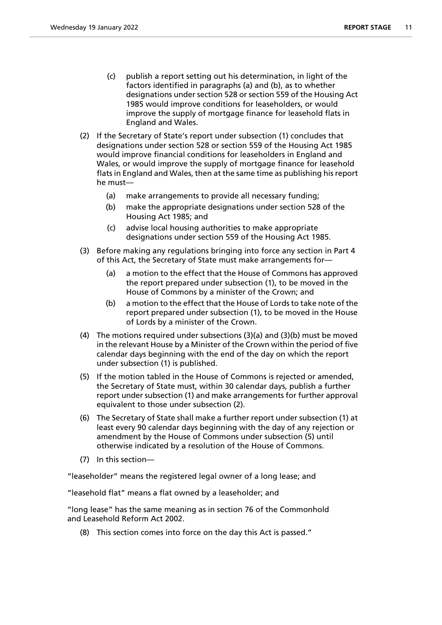- (c) publish a report setting out his determination, in light of the factors identified in paragraphs (a) and (b), as to whether designations under section 528 or section 559 of the Housing Act 1985 would improve conditions for leaseholders, or would improve the supply of mortgage finance for leasehold flats in England and Wales.
- (2) If the Secretary of State's report under subsection (1) concludes that designations under section 528 or section 559 of the Housing Act 1985 would improve financial conditions for leaseholders in England and Wales, or would improve the supply of mortgage finance for leasehold flats in England and Wales, then at the same time as publishing his report he must—
	- (a) make arrangements to provide all necessary funding;
	- (b) make the appropriate designations under section 528 of the Housing Act 1985; and
	- (c) advise local housing authorities to make appropriate designations under section 559 of the Housing Act 1985.
- (3) Before making any regulations bringing into force any section in Part 4 of this Act, the Secretary of State must make arrangements for—
	- (a) a motion to the effect that the House of Commons has approved the report prepared under subsection (1), to be moved in the House of Commons by a minister of the Crown; and
	- (b) a motion to the effect that the House of Lords to take note of the report prepared under subsection (1), to be moved in the House of Lords by a minister of the Crown.
- (4) The motions required under subsections (3)(a) and (3)(b) must be moved in the relevant House by a Minister of the Crown within the period of five calendar days beginning with the end of the day on which the report under subsection (1) is published.
- (5) If the motion tabled in the House of Commons is rejected or amended, the Secretary of State must, within 30 calendar days, publish a further report under subsection (1) and make arrangements for further approval equivalent to those under subsection (2).
- (6) The Secretary of State shall make a further report under subsection (1) at least every 90 calendar days beginning with the day of any rejection or amendment by the House of Commons under subsection (5) until otherwise indicated by a resolution of the House of Commons.
- (7) In this section—

"leaseholder" means the registered legal owner of a long lease; and

"leasehold flat" means a flat owned by a leaseholder; and

"long lease" has the same meaning as in section 76 of the Commonhold and Leasehold Reform Act 2002.

(8) This section comes into force on the day this Act is passed."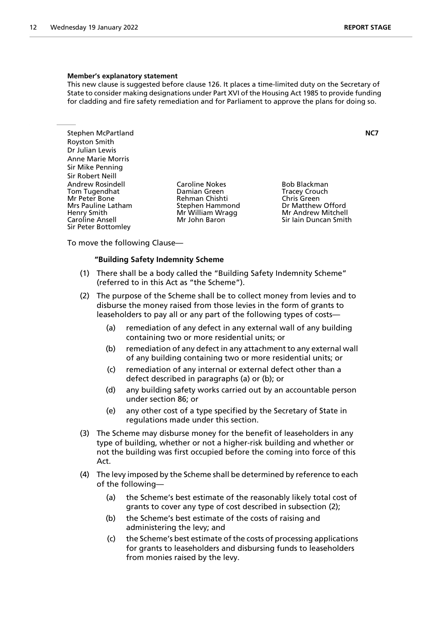#### **Member's explanatory statement**

This new clause is suggested before clause 126. It places a time-limited duty on the Secretary of State to consider making designations under Part XVI of the Housing Act 1985 to provide funding for cladding and fire safety remediation and for Parliament to approve the plans for doing so.

Stephen McPartland **NC7** Royston Smith Dr Julian Lewis Anne Marie Morris Sir Mike Penning Sir Robert Neill Andrew Rosindell **Caroline Nokes** Bob Blackman<br>
Tom Tugendhat **Bootland Bamian Green** Bracey Crouch Tom Tugendhat Damian Green Tracey Crouch Mr Peter Bone **Rehman Chishti** Chris Green<br>
Mrs Pauline Latham **Chris Chris Chris Chris Chris Chris Chris Chris Chris Chris Chris Chris Chris Chris Chris C** Aris Caroline Milliam Wragg<br>
Mr William Wragg<br>
Caroline Ansell Mr John Baron Sir Peter Bottomley

Stephen Hammond **Brand Brand Dr Matthew Offord**<br>
Mr Andrew Mitchell Sir Jain Duncan Smith

To move the following Clause—

#### **"Building Safety Indemnity Scheme**

- (1) There shall be a body called the "Building Safety Indemnity Scheme" (referred to in this Act as "the Scheme").
- (2) The purpose of the Scheme shall be to collect money from levies and to disburse the money raised from those levies in the form of grants to leaseholders to pay all or any part of the following types of costs—
	- (a) remediation of any defect in any external wall of any building containing two or more residential units; or
	- (b) remediation of any defect in any attachment to any external wall of any building containing two or more residential units; or
	- (c) remediation of any internal or external defect other than a defect described in paragraphs (a) or (b); or
	- (d) any building safety works carried out by an accountable person under section 86; or
	- (e) any other cost of a type specified by the Secretary of State in regulations made under this section.
- (3) The Scheme may disburse money for the benefit of leaseholders in any type of building, whether or not a higher-risk building and whether or not the building was first occupied before the coming into force of this Act.
- (4) The levy imposed by the Scheme shall be determined by reference to each of the following—
	- (a) the Scheme's best estimate of the reasonably likely total cost of grants to cover any type of cost described in subsection (2);
	- (b) the Scheme's best estimate of the costs of raising and administering the levy; and
	- (c) the Scheme's best estimate of the costs of processing applications for grants to leaseholders and disbursing funds to leaseholders from monies raised by the levy.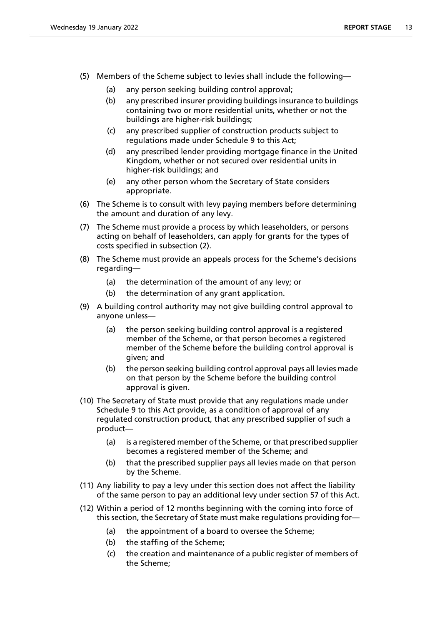- (5) Members of the Scheme subject to levies shall include the following—
	- (a) any person seeking building control approval;
	- (b) any prescribed insurer providing buildings insurance to buildings containing two or more residential units, whether or not the buildings are higher-risk buildings;
	- (c) any prescribed supplier of construction products subject to regulations made under Schedule 9 to this Act;
	- (d) any prescribed lender providing mortgage finance in the United Kingdom, whether or not secured over residential units in higher-risk buildings; and
	- (e) any other person whom the Secretary of State considers appropriate.
- (6) The Scheme is to consult with levy paying members before determining the amount and duration of any levy.
- (7) The Scheme must provide a process by which leaseholders, or persons acting on behalf of leaseholders, can apply for grants for the types of costs specified in subsection (2).
- (8) The Scheme must provide an appeals process for the Scheme's decisions regarding—
	- (a) the determination of the amount of any levy; or
	- (b) the determination of any grant application.
- (9) A building control authority may not give building control approval to anyone unless—
	- (a) the person seeking building control approval is a registered member of the Scheme, or that person becomes a registered member of the Scheme before the building control approval is given; and
	- (b) the person seeking building control approval pays all levies made on that person by the Scheme before the building control approval is given.
- (10) The Secretary of State must provide that any regulations made under Schedule 9 to this Act provide, as a condition of approval of any regulated construction product, that any prescribed supplier of such a product—
	- (a) is a registered member of the Scheme, or that prescribed supplier becomes a registered member of the Scheme; and
	- (b) that the prescribed supplier pays all levies made on that person by the Scheme.
- (11) Any liability to pay a levy under this section does not affect the liability of the same person to pay an additional levy under section 57 of this Act.
- (12) Within a period of 12 months beginning with the coming into force of this section, the Secretary of State must make regulations providing for—
	- (a) the appointment of a board to oversee the Scheme;
	- (b) the staffing of the Scheme;
	- (c) the creation and maintenance of a public register of members of the Scheme;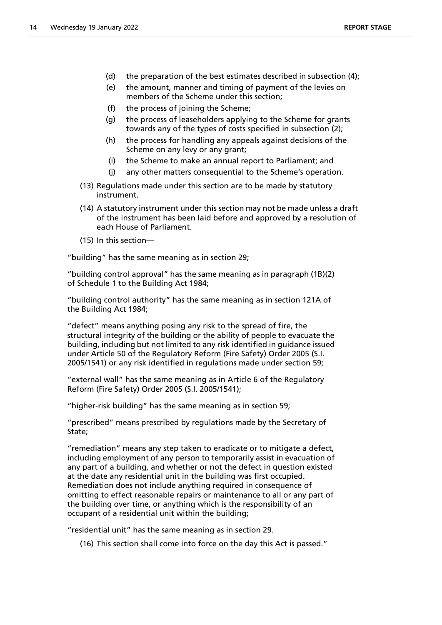- (d) the preparation of the best estimates described in subsection (4);
- (e) the amount, manner and timing of payment of the levies on members of the Scheme under this section;
- (f) the process of joining the Scheme;
- (g) the process of leaseholders applying to the Scheme for grants towards any of the types of costs specified in subsection (2);
- (h) the process for handling any appeals against decisions of the Scheme on any levy or any grant;
- (i) the Scheme to make an annual report to Parliament; and
- (j) any other matters consequential to the Scheme's operation.
- (13) Regulations made under this section are to be made by statutory instrument.
- (14) A statutory instrument under this section may not be made unless a draft of the instrument has been laid before and approved by a resolution of each House of Parliament.
- (15) In this section—

"building" has the same meaning as in section 29;

"building control approval" has the same meaning as in paragraph (1B)(2) of Schedule 1 to the Building Act 1984;

"building control authority" has the same meaning as in section 121A of the Building Act 1984;

"defect" means anything posing any risk to the spread of fire, the structural integrity of the building or the ability of people to evacuate the building, including but not limited to any risk identified in guidance issued under Article 50 of the Regulatory Reform (Fire Safety) Order 2005 (S.I. 2005/1541) or any risk identified in regulations made under section 59;

"external wall" has the same meaning as in Article 6 of the Regulatory Reform (Fire Safety) Order 2005 (S.I. 2005/1541);

"higher-risk building" has the same meaning as in section 59;

"prescribed" means prescribed by regulations made by the Secretary of State;

"remediation" means any step taken to eradicate or to mitigate a defect, including employment of any person to temporarily assist in evacuation of any part of a building, and whether or not the defect in question existed at the date any residential unit in the building was first occupied. Remediation does not include anything required in consequence of omitting to effect reasonable repairs or maintenance to all or any part of the building over time, or anything which is the responsibility of an occupant of a residential unit within the building;

"residential unit" has the same meaning as in section 29.

(16) This section shall come into force on the day this Act is passed."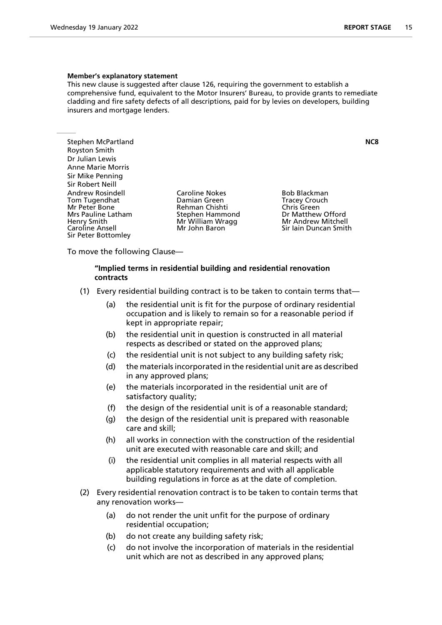#### **Member's explanatory statement**

This new clause is suggested after clause 126, requiring the government to establish a comprehensive fund, equivalent to the Motor Insurers' Bureau, to provide grants to remediate cladding and fire safety defects of all descriptions, paid for by levies on developers, building insurers and mortgage lenders.

Stephen McPartland **NC8** Royston Smith Dr Julian Lewis Anne Marie Morris Sir Mike Penning Sir Robert Neill Andrew Rosindell **Caroline Nokes** Bob Blackman<br>
Tom Tugendhat **Booken**Bom Bomian Green
Bom Blackman
Bomian
Bomian
Bomian
Bom Bomian
Bom Blackman
Bom Blackman
Bom Blackman
Bom Blackman
Bom Blackman
Bom Blackman
Bom Blackma Tom Tugendhat Mr Peter Bone Forman Chishti Chris Green<br>
Mrs Pauline Latham Forman Stephen Hammond Formatthew Offord Mrs Pauline Latham Stephen Hammond Dr Matthew Offord<br>Henry Smith Dr Matthell Mr William Wragg Nr Andrew Mitchell Sir Peter Bottomley

**Mr William Wragg** 

Caroline Ansell Mr John Baron Sir Iain Duncan Smith

To move the following Clause—

# **"Implied terms in residential building and residential renovation contracts**

- (1) Every residential building contract is to be taken to contain terms that—
	- (a) the residential unit is fit for the purpose of ordinary residential occupation and is likely to remain so for a reasonable period if kept in appropriate repair;
	- (b) the residential unit in question is constructed in all material respects as described or stated on the approved plans;
	- (c) the residential unit is not subject to any building safety risk;
	- (d) the materials incorporated in the residential unit are as described in any approved plans;
	- (e) the materials incorporated in the residential unit are of satisfactory quality;
	- (f) the design of the residential unit is of a reasonable standard;
	- (g) the design of the residential unit is prepared with reasonable care and skill;
	- (h) all works in connection with the construction of the residential unit are executed with reasonable care and skill; and
	- (i) the residential unit complies in all material respects with all applicable statutory requirements and with all applicable building regulations in force as at the date of completion.
- (2) Every residential renovation contract is to be taken to contain terms that any renovation works—
	- (a) do not render the unit unfit for the purpose of ordinary residential occupation;
	- (b) do not create any building safety risk;
	- (c) do not involve the incorporation of materials in the residential unit which are not as described in any approved plans;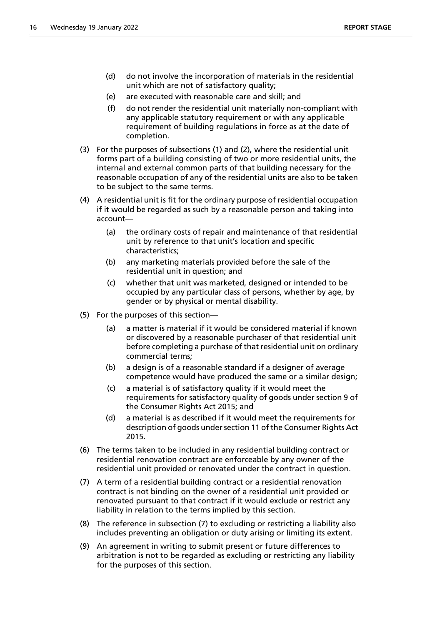- (d) do not involve the incorporation of materials in the residential unit which are not of satisfactory quality;
- (e) are executed with reasonable care and skill; and
- (f) do not render the residential unit materially non-compliant with any applicable statutory requirement or with any applicable requirement of building regulations in force as at the date of completion.
- (3) For the purposes of subsections (1) and (2), where the residential unit forms part of a building consisting of two or more residential units, the internal and external common parts of that building necessary for the reasonable occupation of any of the residential units are also to be taken to be subject to the same terms.
- (4) A residential unit is fit for the ordinary purpose of residential occupation if it would be regarded as such by a reasonable person and taking into account—
	- (a) the ordinary costs of repair and maintenance of that residential unit by reference to that unit's location and specific characteristics;
	- (b) any marketing materials provided before the sale of the residential unit in question; and
	- (c) whether that unit was marketed, designed or intended to be occupied by any particular class of persons, whether by age, by gender or by physical or mental disability.
- (5) For the purposes of this section—
	- (a) a matter is material if it would be considered material if known or discovered by a reasonable purchaser of that residential unit before completing a purchase of that residential unit on ordinary commercial terms;
	- (b) a design is of a reasonable standard if a designer of average competence would have produced the same or a similar design;
	- (c) a material is of satisfactory quality if it would meet the requirements for satisfactory quality of goods under section 9 of the Consumer Rights Act 2015; and
	- (d) a material is as described if it would meet the requirements for description of goods under section 11 of the Consumer Rights Act 2015.
- (6) The terms taken to be included in any residential building contract or residential renovation contract are enforceable by any owner of the residential unit provided or renovated under the contract in question.
- (7) A term of a residential building contract or a residential renovation contract is not binding on the owner of a residential unit provided or renovated pursuant to that contract if it would exclude or restrict any liability in relation to the terms implied by this section.
- (8) The reference in subsection (7) to excluding or restricting a liability also includes preventing an obligation or duty arising or limiting its extent.
- (9) An agreement in writing to submit present or future differences to arbitration is not to be regarded as excluding or restricting any liability for the purposes of this section.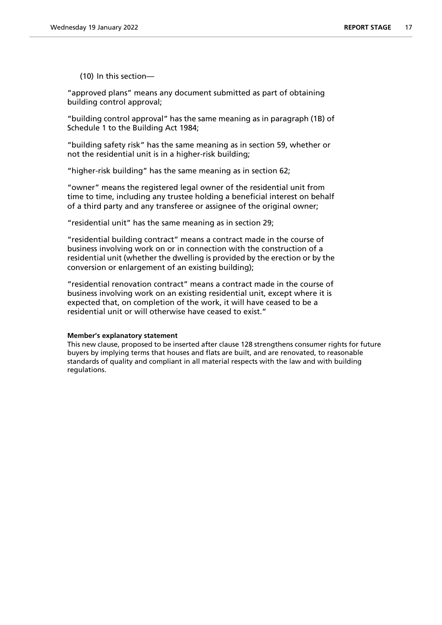(10) In this section—

"approved plans" means any document submitted as part of obtaining building control approval;

"building control approval" has the same meaning as in paragraph (1B) of Schedule 1 to the Building Act 1984;

"building safety risk" has the same meaning as in section 59, whether or not the residential unit is in a higher-risk building;

"higher-risk building" has the same meaning as in section 62;

"owner" means the registered legal owner of the residential unit from time to time, including any trustee holding a beneficial interest on behalf of a third party and any transferee or assignee of the original owner;

"residential unit" has the same meaning as in section 29;

"residential building contract" means a contract made in the course of business involving work on or in connection with the construction of a residential unit (whether the dwelling is provided by the erection or by the conversion or enlargement of an existing building);

"residential renovation contract" means a contract made in the course of business involving work on an existing residential unit, except where it is expected that, on completion of the work, it will have ceased to be a residential unit or will otherwise have ceased to exist."

# **Member's explanatory statement**

This new clause, proposed to be inserted after clause 128 strengthens consumer rights for future buyers by implying terms that houses and flats are built, and are renovated, to reasonable standards of quality and compliant in all material respects with the law and with building regulations.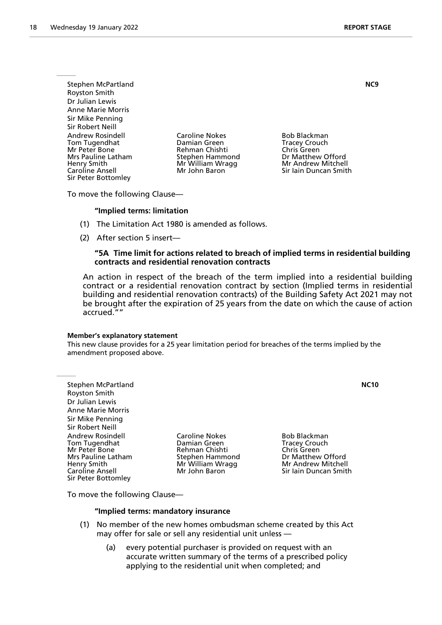Stephen McPartland **NC9** Royston Smith Dr Julian Lewis Anne Marie Morris Sir Mike Penning Sir Robert Neill Andrew Rosindell **Caroline Nokes** Bob Blackman Tom Tugendhat Damian Green Tracey Crouch Mr Peter Bone **Rehman Chishti**<br>
Mrs Pauline Latham **Carlo Chris Chris Chris Chris Chris Chris Chris Chris Chris Chris Chris Chris Chris Chris Chris Chris Chris Chris Chris Chris Chris Chris Chris Chris Chris Chris Chris** Henry Smith Mandrew Mr William Wragg Mr Andrew Mitchell<br>Caroline Ansell Mr John Baron Mr Sir Iain Duncan Smitl Sir Peter Bottomley

Dr Matthew Offord Sir Iain Duncan Smith

To move the following Clause—

#### **"Implied terms: limitation**

- (1) The Limitation Act 1980 is amended as follows.
- (2) After section 5 insert—

# **"5A Time limit for actions related to breach of implied terms in residential building contracts and residential renovation contracts**

An action in respect of the breach of the term implied into a residential building contract or a residential renovation contract by section (Implied terms in residential building and residential renovation contracts) of the Building Safety Act 2021 may not be brought after the expiration of 25 years from the date on which the cause of action accrued.""

#### **Member's explanatory statement**

This new clause provides for a 25 year limitation period for breaches of the terms implied by the amendment proposed above.

Stephen McPartland **NC10** Royston Smith Dr Julian Lewis Anne Marie Morris Sir Mike Penning Sir Robert Neill Andrew Rosindell **Caroline Nokes** Bob Blackman<br>
Tom Tugendhat **Booker Booker Booker Booker Booker Booker Booker Booker Booker Booker Booker Booker Booker Book** Tom Tugendhat Damian Green Tracey Crouch Mrs Pauline Latham Stephen Hammond Dr Matthew Offord<br>Henry Smith Dr Matthell Mr William Wragg Nr Andrew Mitchell Henry Smith Mr Mr William Wragg<br>Caroline Ansell Mr John Baron Sir Peter Bottomley

Rehman Chishti

Sir Iain Duncan Smith

To move the following Clause—

#### **"Implied terms: mandatory insurance**

- (1) No member of the new homes ombudsman scheme created by this Act may offer for sale or sell any residential unit unless —
	- (a) every potential purchaser is provided on request with an accurate written summary of the terms of a prescribed policy applying to the residential unit when completed; and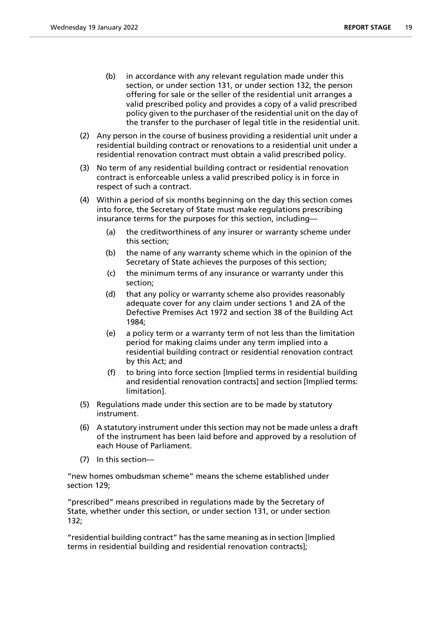- (b) in accordance with any relevant regulation made under this section, or under section 131, or under section 132, the person offering for sale or the seller of the residential unit arranges a valid prescribed policy and provides a copy of a valid prescribed policy given to the purchaser of the residential unit on the day of the transfer to the purchaser of legal title in the residential unit.
- (2) Any person in the course of business providing a residential unit under a residential building contract or renovations to a residential unit under a residential renovation contract must obtain a valid prescribed policy.
- (3) No term of any residential building contract or residential renovation contract is enforceable unless a valid prescribed policy is in force in respect of such a contract.
- (4) Within a period of six months beginning on the day this section comes into force, the Secretary of State must make regulations prescribing insurance terms for the purposes for this section, including—
	- (a) the creditworthiness of any insurer or warranty scheme under this section;
	- (b) the name of any warranty scheme which in the opinion of the Secretary of State achieves the purposes of this section;
	- (c) the minimum terms of any insurance or warranty under this section;
	- (d) that any policy or warranty scheme also provides reasonably adequate cover for any claim under sections 1 and 2A of the Defective Premises Act 1972 and section 38 of the Building Act 1984;
	- (e) a policy term or a warranty term of not less than the limitation period for making claims under any term implied into a residential building contract or residential renovation contract by this Act; and
	- (f) to bring into force section [Implied terms in residential building and residential renovation contracts] and section [Implied terms: limitation].
- (5) Regulations made under this section are to be made by statutory instrument.
- (6) A statutory instrument under this section may not be made unless a draft of the instrument has been laid before and approved by a resolution of each House of Parliament.
- (7) In this section—

"new homes ombudsman scheme" means the scheme established under section 129;

"prescribed" means prescribed in regulations made by the Secretary of State, whether under this section, or under section 131, or under section 132;

"residential building contract" has the same meaning as in section [Implied terms in residential building and residential renovation contracts];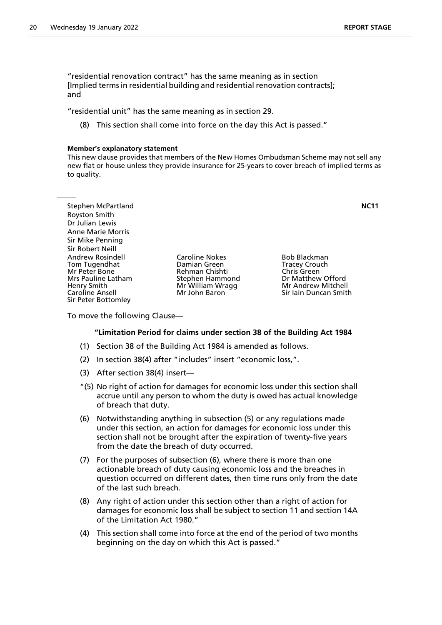"residential renovation contract" has the same meaning as in section [Implied terms in residential building and residential renovation contracts]; and

"residential unit" has the same meaning as in section 29.

(8) This section shall come into force on the day this Act is passed."

#### **Member's explanatory statement**

This new clause provides that members of the New Homes Ombudsman Scheme may not sell any new flat or house unless they provide insurance for 25-years to cover breach of implied terms as to quality.

| Stephen McPartland                                                                                                                       |                                                                                                                 |                                                                                                                         | NC11 |
|------------------------------------------------------------------------------------------------------------------------------------------|-----------------------------------------------------------------------------------------------------------------|-------------------------------------------------------------------------------------------------------------------------|------|
| <b>Royston Smith</b>                                                                                                                     |                                                                                                                 |                                                                                                                         |      |
| Dr Julian Lewis                                                                                                                          |                                                                                                                 |                                                                                                                         |      |
| <b>Anne Marie Morris</b>                                                                                                                 |                                                                                                                 |                                                                                                                         |      |
| Sir Mike Penning                                                                                                                         |                                                                                                                 |                                                                                                                         |      |
| Sir Robert Neill                                                                                                                         |                                                                                                                 |                                                                                                                         |      |
| Andrew Rosindell<br>Tom Tugendhat<br>Mr Peter Bone<br>Mrs Pauline Latham<br>Henry Smith<br><b>Caroline Ansell</b><br>Sir Peter Bottomley | <b>Caroline Nokes</b><br>Damian Green<br>Rehman Chishti<br>Stephen Hammond<br>Mr William Wragg<br>Mr John Baron | Bob Blackman<br><b>Tracey Crouch</b><br>Chris Green<br>Dr Matthew Offord<br>Mr Andrew Mitchell<br>Sir Iain Duncan Smith |      |

To move the following Clause—

# **"Limitation Period for claims under section 38 of the Building Act 1984**

- (1) Section 38 of the Building Act 1984 is amended as follows.
- (2) In section 38(4) after "includes" insert "economic loss,".
- (3) After section 38(4) insert—
- "(5) No right of action for damages for economic loss under this section shall accrue until any person to whom the duty is owed has actual knowledge of breach that duty.
- (6) Notwithstanding anything in subsection (5) or any regulations made under this section, an action for damages for economic loss under this section shall not be brought after the expiration of twenty-five years from the date the breach of duty occurred.
- (7) For the purposes of subsection (6), where there is more than one actionable breach of duty causing economic loss and the breaches in question occurred on different dates, then time runs only from the date of the last such breach.
- (8) Any right of action under this section other than a right of action for damages for economic loss shall be subject to section 11 and section 14A of the Limitation Act 1980."
- (4) This section shall come into force at the end of the period of two months beginning on the day on which this Act is passed."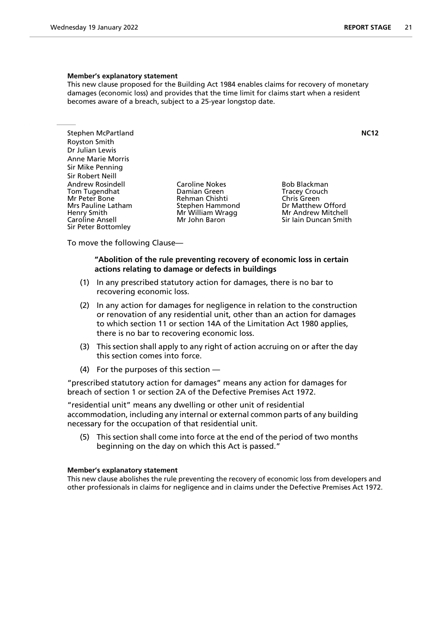#### **Member's explanatory statement**

This new clause proposed for the Building Act 1984 enables claims for recovery of monetary damages (economic loss) and provides that the time limit for claims start when a resident becomes aware of a breach, subject to a 25-year longstop date.

Stephen McPartland **NC12** Royston Smith Dr Julian Lewis Anne Marie Morris Sir Mike Penning Sir Robert Neill Andrew Rosindell **Caroline Nokes** Bob Blackman<br>
Tom Tugendhat **Booker Booker Booker Booker Booker Booker Booker Booker Booker Booker Booker Booker Booker Book** Tom Tugendhat Damian Green Tracey Crouch Mr Peter Bone **Rehman Chishti** Chris Green<br>
Mrs Pauline Latham Stephen Hammond Dr Matthew Offord Aris Caroline Milliam Wragg<br>
Henry Smith Milliam Wragg<br>
Caroline Ansell Milliam Milliam Milliam Milliam Sir Peter Bottomley

Stephen Hammond **Brand Brand Dr Matthew Offord**<br>
Mr Andrew Mitchell Sir Jain Duncan Smith

To move the following Clause—

# **"Abolition of the rule preventing recovery of economic loss in certain actions relating to damage or defects in buildings**

- (1) In any prescribed statutory action for damages, there is no bar to recovering economic loss.
- (2) In any action for damages for negligence in relation to the construction or renovation of any residential unit, other than an action for damages to which section 11 or section 14A of the Limitation Act 1980 applies, there is no bar to recovering economic loss.
- (3) This section shall apply to any right of action accruing on or after the day this section comes into force.
- (4) For the purposes of this section —

"prescribed statutory action for damages" means any action for damages for breach of section 1 or section 2A of the Defective Premises Act 1972.

"residential unit" means any dwelling or other unit of residential accommodation, including any internal or external common parts of any building necessary for the occupation of that residential unit.

(5) This section shall come into force at the end of the period of two months beginning on the day on which this Act is passed."

#### **Member's explanatory statement**

This new clause abolishes the rule preventing the recovery of economic loss from developers and other professionals in claims for negligence and in claims under the Defective Premises Act 1972.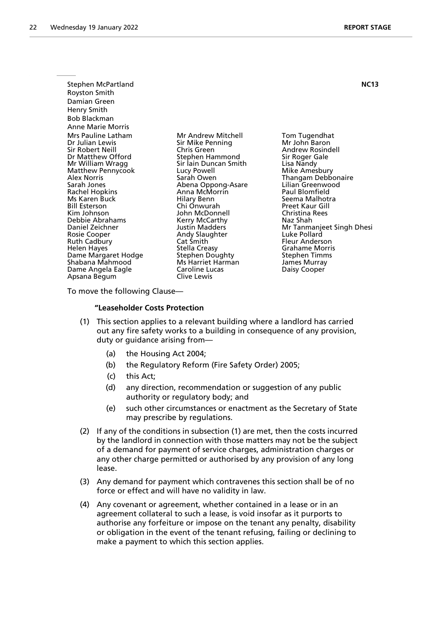| Stephen McPartland                                                                                                                                                                                                                          |                                                                                                                                                                                                                       | <b>NC13</b>                                                                                                                                                                                                                               |
|---------------------------------------------------------------------------------------------------------------------------------------------------------------------------------------------------------------------------------------------|-----------------------------------------------------------------------------------------------------------------------------------------------------------------------------------------------------------------------|-------------------------------------------------------------------------------------------------------------------------------------------------------------------------------------------------------------------------------------------|
| Royston Smith                                                                                                                                                                                                                               |                                                                                                                                                                                                                       |                                                                                                                                                                                                                                           |
| Damian Green                                                                                                                                                                                                                                |                                                                                                                                                                                                                       |                                                                                                                                                                                                                                           |
| Henry Smith                                                                                                                                                                                                                                 |                                                                                                                                                                                                                       |                                                                                                                                                                                                                                           |
| Bob Blackman                                                                                                                                                                                                                                |                                                                                                                                                                                                                       |                                                                                                                                                                                                                                           |
| Anne Marie Morris                                                                                                                                                                                                                           |                                                                                                                                                                                                                       |                                                                                                                                                                                                                                           |
| Mrs Pauline Latham<br>Dr Julian Lewis<br>Sir Robert Neill<br>Dr Matthew Offord<br>Mr William Wragg<br>Matthew Pennycook<br>Alex Norris<br>Sarah Jones<br>Rachel Hopkins<br>Ms Karen Buck<br>Bill Esterson<br>Kim Johnson<br>Debbie Abrahams | Mr Andrew Mitchell<br>Sir Mike Penning<br>Chris Green<br>Stephen Hammond<br>Sir Jain Duncan Smith<br>Lucy Powell<br>Sarah Owen<br>Abena Oppong-Asare<br>Anna McMorrin<br>Hilary Benn<br>Chi Onwurah<br>John McDonnell | Tom Tugendhat<br>Mr John Baron<br>Andrew Rosindell<br>Sir Roger Gale<br>Lisa Nandy<br>Mike Amesbury<br>Thangam Debbonaire<br>Lilian Greenwood<br>Paul Blomfield<br>Seema Malhotra<br><b>Preet Kaur Gill</b><br>Christina Rees<br>Naz Shah |
| Daniel Zeichner<br>Rosie Cooper<br><b>Ruth Cadbury</b><br>Helen Hayes<br>Dame Margaret Hodge<br>Shabana Mahmood<br>Dame Angela Eagle<br>Apsana Begum                                                                                        | Kerry McCarthy<br>Justin Madders<br>Andy Slaughter<br>Cat Smith<br><b>Stella Creasy</b><br>Stephen Doughty<br>Ms Harriet Harman<br>Caroline Lucas<br>Clive Lewis                                                      | Mr Tanmanjeet Singh Dhesi<br>Luke Pollard<br>Fleur Anderson<br><b>Grahame Morris</b><br>Stephen Timms<br>James Murray<br>Daisy Cooper                                                                                                     |
| Ta maana tha fallan in a Clanaa                                                                                                                                                                                                             |                                                                                                                                                                                                                       |                                                                                                                                                                                                                                           |

To move the following Clause—

# **"Leaseholder Costs Protection**

- (1) This section applies to a relevant building where a landlord has carried out any fire safety works to a building in consequence of any provision, duty or guidance arising from—
	- (a) the Housing Act 2004;
	- (b) the Regulatory Reform (Fire Safety Order) 2005;
	- (c) this Act;
	- (d) any direction, recommendation or suggestion of any public authority or regulatory body; and
	- (e) such other circumstances or enactment as the Secretary of State may prescribe by regulations.
- (2) If any of the conditions in subsection (1) are met, then the costs incurred by the landlord in connection with those matters may not be the subject of a demand for payment of service charges, administration charges or any other charge permitted or authorised by any provision of any long lease.
- (3) Any demand for payment which contravenes this section shall be of no force or effect and will have no validity in law.
- (4) Any covenant or agreement, whether contained in a lease or in an agreement collateral to such a lease, is void insofar as it purports to authorise any forfeiture or impose on the tenant any penalty, disability or obligation in the event of the tenant refusing, failing or declining to make a payment to which this section applies.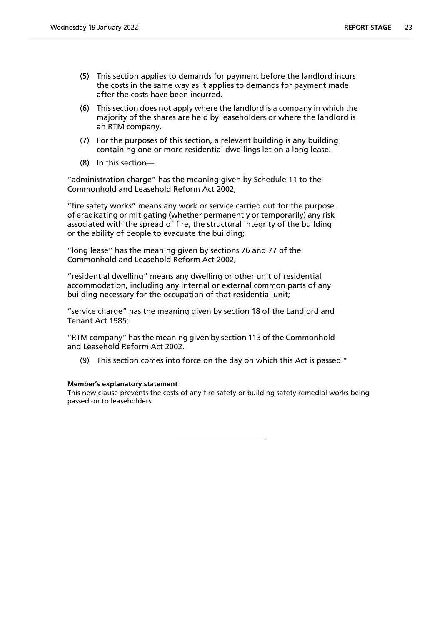- (5) This section applies to demands for payment before the landlord incurs the costs in the same way as it applies to demands for payment made after the costs have been incurred.
- (6) This section does not apply where the landlord is a company in which the majority of the shares are held by leaseholders or where the landlord is an RTM company.
- (7) For the purposes of this section, a relevant building is any building containing one or more residential dwellings let on a long lease.
- (8) In this section—

"administration charge" has the meaning given by Schedule 11 to the Commonhold and Leasehold Reform Act 2002;

"fire safety works" means any work or service carried out for the purpose of eradicating or mitigating (whether permanently or temporarily) any risk associated with the spread of fire, the structural integrity of the building or the ability of people to evacuate the building;

"long lease" has the meaning given by sections 76 and 77 of the Commonhold and Leasehold Reform Act 2002;

"residential dwelling" means any dwelling or other unit of residential accommodation, including any internal or external common parts of any building necessary for the occupation of that residential unit;

"service charge" has the meaning given by section 18 of the Landlord and Tenant Act 1985;

"RTM company" has the meaning given by section 113 of the Commonhold and Leasehold Reform Act 2002.

(9) This section comes into force on the day on which this Act is passed."

# **Member's explanatory statement**

This new clause prevents the costs of any fire safety or building safety remedial works being passed on to leaseholders.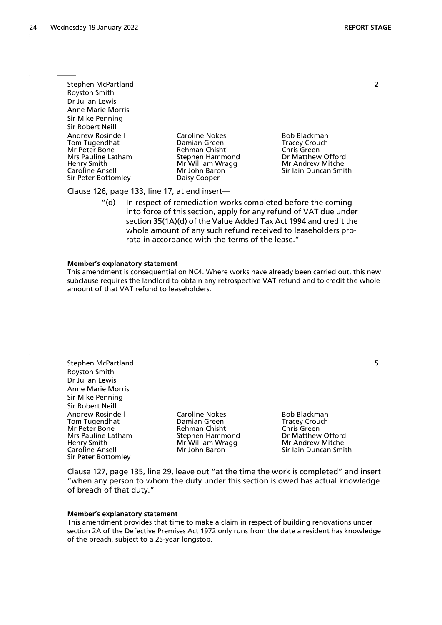Stephen McPartland **2** Royston Smith Dr Julian Lewis Anne Marie Morris Sir Mike Penning Sir Robert Neill Andrew Rosindell **Caroline Nokes** Bob Blackman Tom Tugendhat **Damian Green** Tracey Crouch<br>
Mr Peter Bone **Tracey Crouch**<br>
Rehman Chishti Chris Green Mr Peter Bone **Rehman Chishti**<br>
Mrs Pauline Latham **Carlo Chris Chris Chris Chris Chris Chris Chris Chris Chris Chris Chris Chris Chris Chris Chris Chris Chris Chris Chris Chris Chris Chris Chris Chris Chris Chris Chris** Henry Smith Manneson Mr William Wragg Mr Andrew Mitchell<br>Caroline Ansell Mr John Baron Mr Sir Iain Duncan Smitl Sir Peter Bottomley **Daisy Cooper** 

Dr Matthew Offord Sir Iain Duncan Smith

Clause 126, page 133, line 17, at end insert—

"(d) In respect of remediation works completed before the coming into force of this section, apply for any refund of VAT due under section 35(1A)(d) of the Value Added Tax Act 1994 and credit the whole amount of any such refund received to leaseholders prorata in accordance with the terms of the lease."

#### **Member's explanatory statement**

This amendment is consequential on NC4. Where works have already been carried out, this new subclause requires the landlord to obtain any retrospective VAT refund and to credit the whole amount of that VAT refund to leaseholders.

Stephen McPartland **5** Royston Smith Dr Julian Lewis Anne Marie Morris Sir Mike Penning Sir Robert Neill Andrew Rosindell **Caroline Nokes** Bob Blackman<br>
Tom Tugendhat **Booker Booker Booker Booker Booker Booker Booker Booker Booker Booker Booker Booker Booker Book** Tom Tugendhat Damian Green Tracey Crouch Mr Peter Bone **Rehman Chishti** Chris Green<br>
Mrs Pauline Latham Stephen Hammond Dr Matthew Offord Henry Smith Mr Mr William Wragg<br>
Caroline Ansell Mr John Baron Sir Peter Bottomley

Stephen Hammond **Dr Matthew Offord**<br>
Mr William Wragg **Dr Matthew Mitchell** Sir Iain Duncan Smith

Clause 127, page 135, line 29, leave out "at the time the work is completed" and insert "when any person to whom the duty under this section is owed has actual knowledge of breach of that duty."

#### **Member's explanatory statement**

This amendment provides that time to make a claim in respect of building renovations under section 2A of the Defective Premises Act 1972 only runs from the date a resident has knowledge of the breach, subject to a 25-year longstop.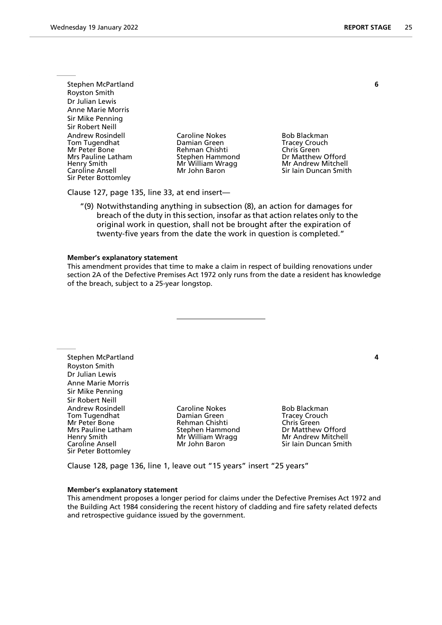Stephen McPartland **6** Royston Smith Dr Julian Lewis Anne Marie Morris Sir Mike Penning Sir Robert Neill Andrew Rosindell **Caroline Nokes** Bob Blackman Tom Tugendhat **Damian Green** Tracey Crouch<br>
Mr Peter Bone **Tracey Crouch**<br>
Rehman Chishti Chris Green Mr Peter Bone **Rehman Chishti**<br>
Mrs Pauline Latham **Carlo Chris Chris Chris Chris Chris Chris Chris Chris Chris Chris Chris Chris Chris Chris Chris Chris Chris Chris Chris Chris Chris Chris Chris Chris Chris Chris Chris** Henry Smith Mandrew Mr William Wragg Mr Andrew Mitchell<br>Caroline Ansell Mr John Baron Mr Sir Iain Duncan Smitl Sir Peter Bottomley

Dr Matthew Offord Sir Iain Duncan Smith

Clause 127, page 135, line 33, at end insert—

"(9) Notwithstanding anything in subsection (8), an action for damages for breach of the duty in this section, insofar as that action relates only to the original work in question, shall not be brought after the expiration of twenty-five years from the date the work in question is completed."

#### **Member's explanatory statement**

This amendment provides that time to make a claim in respect of building renovations under section 2A of the Defective Premises Act 1972 only runs from the date a resident has knowledge of the breach, subject to a 25-year longstop.

Stephen McPartland **4** Royston Smith Dr Julian Lewis Anne Marie Morris Sir Mike Penning Sir Robert Neill Andrew Rosindell **Caroline Nokes** Bob Blackman Tom Tugendhat Damian Green Tracey Crouch Mr Peter Bone **Rehman Chishti**<br>
Mrs Pauline Latham **Comment Chris Comment Chris Comment** Henry Smith Mr Mr William Wragg<br>Caroline Ansell Mr John Baron Sir Peter Bottomley

Dr Matthew Offord<br>Mr Andrew Mitchell Sir Jain Duncan Smith

Clause 128, page 136, line 1, leave out "15 years" insert "25 years"

#### **Member's explanatory statement**

This amendment proposes a longer period for claims under the Defective Premises Act 1972 and the Building Act 1984 considering the recent history of cladding and fire safety related defects and retrospective guidance issued by the government.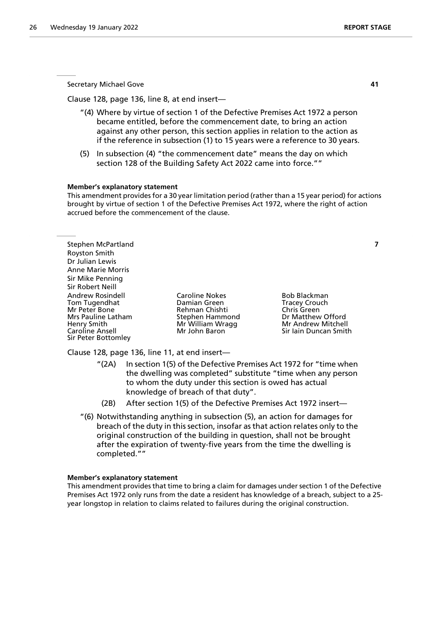Clause 128, page 136, line 8, at end insert—

- "(4) Where by virtue of section 1 of the Defective Premises Act 1972 a person became entitled, before the commencement date, to bring an action against any other person, this section applies in relation to the action as if the reference in subsection (1) to 15 years were a reference to 30 years.
- (5) In subsection (4) "the commencement date" means the day on which section 128 of the Building Safety Act 2022 came into force.""

#### **Member's explanatory statement**

This amendment provides for a 30 year limitation period (rather than a 15 year period) for actions brought by virtue of section 1 of the Defective Premises Act 1972, where the right of action accrued before the commencement of the clause.

Stephen McPartland **7** Royston Smith Dr Julian Lewis Anne Marie Morris Sir Mike Penning Sir Robert Neill Andrew Rosindell Caroline Nokes Bob Blackman Tom Tugendhat Damian Green Tracey Crouch Mrs Pauline Latham Stephen Hammond Dr Matthew Offord<br>
Henry Smith Chammond Mr William Wragg Nr Andrew Mitchell Henry Smith Mr Milliam Wragg<br>Caroline Ansell Mr John Baron Sir Peter Bottomley

Mr Peter Bone Rehman Chishti Chris Green Sir Jain Duncan Smith

Clause 128, page 136, line 11, at end insert—

- "(2A) In section 1(5) of the Defective Premises Act 1972 for "time when the dwelling was completed" substitute "time when any person to whom the duty under this section is owed has actual knowledge of breach of that duty".
- (2B) After section 1(5) of the Defective Premises Act 1972 insert—
- "(6) Notwithstanding anything in subsection (5), an action for damages for breach of the duty in this section, insofar as that action relates only to the original construction of the building in question, shall not be brought after the expiration of twenty-five years from the time the dwelling is completed.""

#### **Member's explanatory statement**

This amendment provides that time to bring a claim for damages under section 1 of the Defective Premises Act 1972 only runs from the date a resident has knowledge of a breach, subject to a 25 year longstop in relation to claims related to failures during the original construction.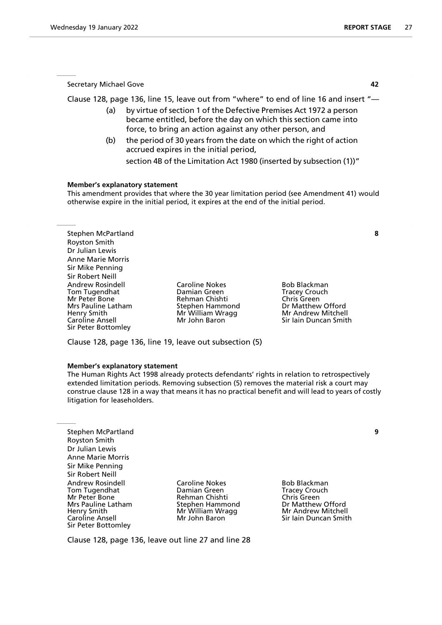Clause 128, page 136, line 15, leave out from "where" to end of line 16 and insert "—

- (a) by virtue of section 1 of the Defective Premises Act 1972 a person became entitled, before the day on which this section came into force, to bring an action against any other person, and
- (b) the period of 30 years from the date on which the right of action accrued expires in the initial period,

section 4B of the Limitation Act 1980 (inserted by subsection (1))"

#### **Member's explanatory statement**

This amendment provides that where the 30 year limitation period (see Amendment 41) would otherwise expire in the initial period, it expires at the end of the initial period.

Stephen McPartland **8** Royston Smith Dr Julian Lewis Anne Marie Morris Sir Mike Penning Sir Robert Neill Andrew Rosindell **Caroline Nokes** Bob Blackman<br>
Tom Tugendhat **Bootland Damian Green** Bootland Tracey Crouch Tom Tugendhat Damian Green Tracey Crouch Mrs Pauline Latham Stephen Hammond Dr Matthew Offord<br>Henry Smith Christian Mr William Wragg Nr Andrew Mitchell Henry Smith Mr Milliam Wragg<br>
Caroline Ansell Mr John Baron Sir Peter Bottomley

Mr Peter Bone Rehman Chishti Chris Green

Sir Iain Duncan Smith

Clause 128, page 136, line 19, leave out subsection (5)

#### **Member's explanatory statement**

The Human Rights Act 1998 already protects defendants' rights in relation to retrospectively extended limitation periods. Removing subsection (5) removes the material risk a court may construe clause 128 in a way that means it has no practical benefit and will lead to years of costly litigation for leaseholders.

Stephen McPartland **9** Royston Smith Dr Julian Lewis Anne Marie Morris Sir Mike Penning Sir Robert Neill Andrew Rosindell **Caroline Nokes** Bob Blackman<br>
Tom Tugendhat **Booker Booker Booker Booker Booker Booker Booker Booker Booker Booker Booker Booker Booker Book** Tom Tugendhat Mr Peter Bone **Rehman Chishti** Chris Green Chris Green<br>
Mrs Pauline Latham Chris Stephen Hammond Chris Dr Matthew Mrs Pauline Latham Stephen Hammond Dr Matthew Offord<br>
Henry Smith Christian Wragg Mr Andrew Mitchell Henry Smith Mr Milliam Wragg (Milliam Wragg Marchell Milliam Wragg Marchell<br>The Ansell Milliam Mit John Baron Sir Peter Bottomley

Mr John Baron  $\tilde{\phantom{a}}$  Sir Iain Duncan Smith

Clause 128, page 136, leave out line 27 and line 28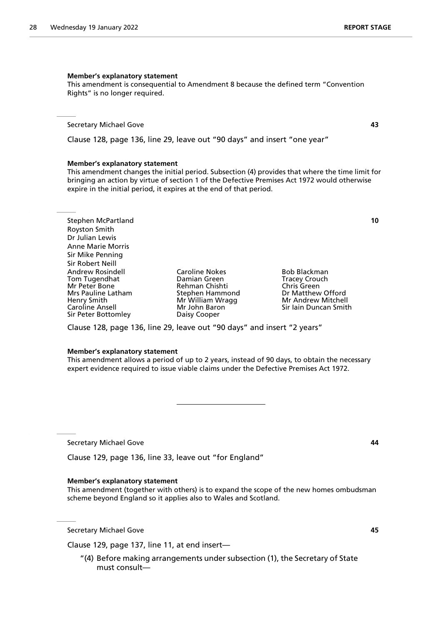# **Member's explanatory statement**

This amendment is consequential to Amendment 8 because the defined term "Convention Rights" is no longer required.

Secretary Michael Gove **43**

Clause 128, page 136, line 29, leave out "90 days" and insert "one year"

#### **Member's explanatory statement**

This amendment changes the initial period. Subsection (4) provides that where the time limit for bringing an action by virtue of section 1 of the Defective Premises Act 1972 would otherwise expire in the initial period, it expires at the end of that period.

Stephen McPartland **10** Royston Smith Dr Julian Lewis Anne Marie Morris Sir Mike Penning Sir Robert Neill Andrew Rosindell **Caroline Nokes** Bob Blackman<br>
Tom Tugendhat **Bootland Bamian Green** Bootland Tracey Crouch Tom Tugendhat **Tracey Crouch Communist Communist Communist** Christenen Christenen Tracey Crouch Christenen Tracey Crouch Christenen Christenen Christenen Tracey Crouch Christenen Christenen Christenen Tracey Christenen Chr Mrs Pauline Latham Stephen Hammond Dr Matthew Offord<br>Henry Smith Christian Mr William Wragg Nr Andrew Mitchell Henry Smith Mr William Wragg<br>
Caroline Ansell Mr John Baron Sir Peter Bottomley

Mr John Baron Terman Sir Iain Duncan Smith<br>
Daisy Cooper

Rehman Chishti **Chris Green**<br>Stephen Hammond **Chris Chris Chris Chris Chris Chris Chris Chris Chris Chris Chris Chris Chris Chris Chris Chri** 

Clause 128, page 136, line 29, leave out "90 days" and insert "2 years"

#### **Member's explanatory statement**

This amendment allows a period of up to 2 years, instead of 90 days, to obtain the necessary expert evidence required to issue viable claims under the Defective Premises Act 1972.

Secretary Michael Gove **44**

Clause 129, page 136, line 33, leave out "for England"

#### **Member's explanatory statement**

This amendment (together with others) is to expand the scope of the new homes ombudsman scheme beyond England so it applies also to Wales and Scotland.

Secretary Michael Gove **45**

Clause 129, page 137, line 11, at end insert—

"(4) Before making arrangements under subsection (1), the Secretary of State must consult—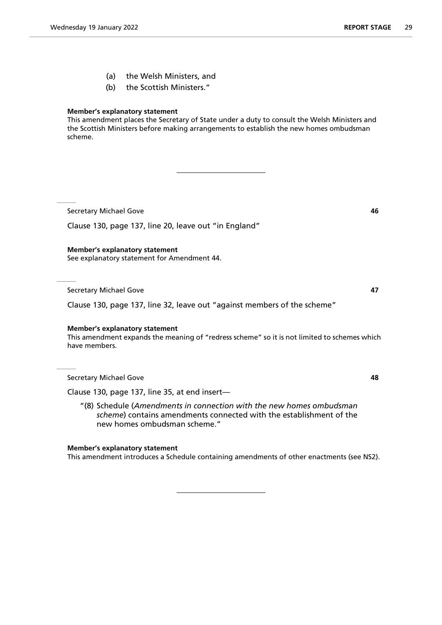- (a) the Welsh Ministers, and
- (b) the Scottish Ministers."

# **Member's explanatory statement**

This amendment places the Secretary of State under a duty to consult the Welsh Ministers and the Scottish Ministers before making arrangements to establish the new homes ombudsman scheme.

Secretary Michael Gove **46** 

Clause 130, page 137, line 20, leave out "in England"

# **Member's explanatory statement**

See explanatory statement for Amendment 44.

Secretary Michael Gove **47** 

Clause 130, page 137, line 32, leave out "against members of the scheme"

# **Member's explanatory statement**

This amendment expands the meaning of "redress scheme" so it is not limited to schemes which have members.

Secretary Michael Gove **48**

Clause 130, page 137, line 35, at end insert—

"(8) Schedule (*Amendments in connection with the new homes ombudsman scheme*) contains amendments connected with the establishment of the new homes ombudsman scheme."

# **Member's explanatory statement**

This amendment introduces a Schedule containing amendments of other enactments (see NS2).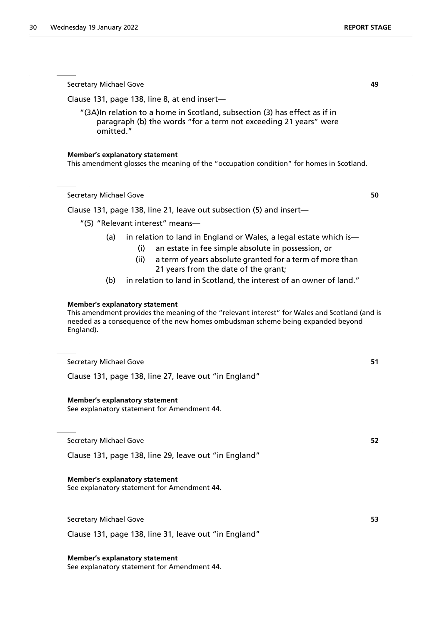Clause 131, page 138, line 8, at end insert—

omitted."

| <b>Member's explanatory statement</b><br>This amendment glosses the meaning of the "occupation condition" for homes in Scotland.                                                                                                                  |    |
|---------------------------------------------------------------------------------------------------------------------------------------------------------------------------------------------------------------------------------------------------|----|
| <b>Secretary Michael Gove</b>                                                                                                                                                                                                                     | 50 |
| Clause 131, page 138, line 21, leave out subsection (5) and insert-                                                                                                                                                                               |    |
| "(5) "Relevant interest" means-                                                                                                                                                                                                                   |    |
| in relation to land in England or Wales, a legal estate which is-<br>(a)<br>an estate in fee simple absolute in possession, or<br>(i)<br>(ii)<br>a term of years absolute granted for a term of more than<br>21 years from the date of the grant; |    |
| in relation to land in Scotland, the interest of an owner of land."<br>(b)                                                                                                                                                                        |    |
| <b>Member's explanatory statement</b><br>This amendment provides the meaning of the "relevant interest" for Wales and Scotland (and is<br>needed as a consequence of the new homes ombudsman scheme being expanded beyond<br>England).            |    |
| <b>Secretary Michael Gove</b>                                                                                                                                                                                                                     | 51 |
| Clause 131, page 138, line 27, leave out "in England"                                                                                                                                                                                             |    |
| <b>Member's explanatory statement</b><br>See explanatory statement for Amendment 44.                                                                                                                                                              |    |
| <b>Secretary Michael Gove</b>                                                                                                                                                                                                                     | 52 |
| Clause 131, page 138, line 29, leave out "in England"                                                                                                                                                                                             |    |
| <b>Member's explanatory statement</b><br>See explanatory statement for Amendment 44.                                                                                                                                                              |    |
| <b>Secretary Michael Gove</b>                                                                                                                                                                                                                     | 53 |
| Clause 131, page 138, line 31, leave out "in England"                                                                                                                                                                                             |    |
| <b>Member's explanatory statement</b>                                                                                                                                                                                                             |    |

"(3A)In relation to a home in Scotland, subsection (3) has effect as if in paragraph (b) the words "for a term not exceeding 21 years" were

See explanatory statement for Amendment 44.

Secretary Michael Gove **49**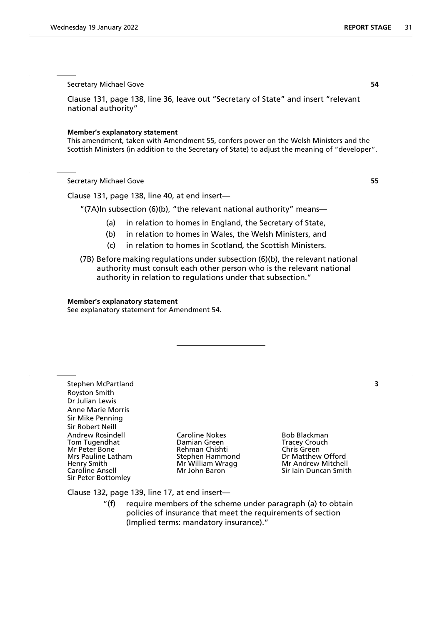Clause 131, page 138, line 36, leave out "Secretary of State" and insert "relevant national authority"

#### **Member's explanatory statement**

This amendment, taken with Amendment 55, confers power on the Welsh Ministers and the Scottish Ministers (in addition to the Secretary of State) to adjust the meaning of "developer".

Secretary Michael Gove **55**

Clause 131, page 138, line 40, at end insert—

"(7A)In subsection (6)(b), "the relevant national authority" means—

- (a) in relation to homes in England, the Secretary of State,
- (b) in relation to homes in Wales, the Welsh Ministers, and
- (c) in relation to homes in Scotland, the Scottish Ministers.
- (7B) Before making regulations under subsection (6)(b), the relevant national authority must consult each other person who is the relevant national authority in relation to regulations under that subsection."

#### **Member's explanatory statement**

See explanatory statement for Amendment 54.

Stephen McPartland **3** Royston Smith Dr Julian Lewis Anne Marie Morris Sir Mike Penning Sir Robert Neill Andrew Rosindell **Caroline Nokes** Bob Blackman<br>
Tom Tugendhat **Booker Booker Booker Booker Booker Booker Booker Booker Booker Booker Booker Booker Booker Book** Tom Tugendhat Damian Green Tracey Crouch Mrs Pauline Latham Henry Smith Manneson Mr William Wragg Mr Andrew Mitchell<br>Caroline Ansell Mr John Baron Mr Sir Iain Duncan Smitl Sir Peter Bottomley

Rehman Chishti **Chris Green**<br>Stephen Hammond **Chris Chris Chris Chris Chris Stephen** 

Sir Iain Duncan Smith

Clause 132, page 139, line 17, at end insert—

"(f) require members of the scheme under paragraph (a) to obtain policies of insurance that meet the requirements of section (Implied terms: mandatory insurance)."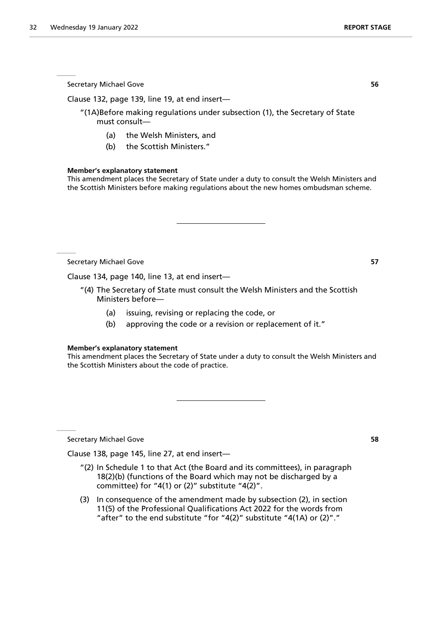Clause 132, page 139, line 19, at end insert—

"(1A)Before making regulations under subsection (1), the Secretary of State must consult—

(a) the Welsh Ministers, and

(b) the Scottish Ministers."

#### **Member's explanatory statement**

This amendment places the Secretary of State under a duty to consult the Welsh Ministers and the Scottish Ministers before making regulations about the new homes ombudsman scheme.

Secretary Michael Gove **57**

Clause 134, page 140, line 13, at end insert—

- "(4) The Secretary of State must consult the Welsh Ministers and the Scottish Ministers before—
	- (a) issuing, revising or replacing the code, or
	- (b) approving the code or a revision or replacement of it."

#### **Member's explanatory statement**

This amendment places the Secretary of State under a duty to consult the Welsh Ministers and the Scottish Ministers about the code of practice.

Secretary Michael Gove **58**

Clause 138, page 145, line 27, at end insert—

- "(2) In Schedule 1 to that Act (the Board and its committees), in paragraph 18(2)(b) (functions of the Board which may not be discharged by a committee) for "4(1) or (2)" substitute "4(2)".
- (3) In consequence of the amendment made by subsection (2), in section 11(5) of the Professional Qualifications Act 2022 for the words from "after" to the end substitute "for "4(2)" substitute "4(1A) or (2)"."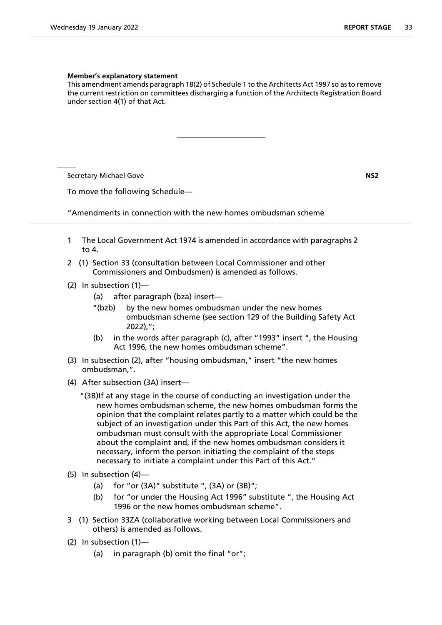#### **Member's explanatory statement**

This amendment amends paragraph 18(2) of Schedule 1 to the Architects Act 1997 so as to remove the current restriction on committees discharging a function of the Architects Registration Board under section 4(1) of that Act.

**Secretary Michael Gove**  NS2

To move the following Schedule—

"Amendments in connection with the new homes ombudsman scheme

- 1 The Local Government Act 1974 is amended in accordance with paragraphs 2 to 4.
- 2 (1) Section 33 (consultation between Local Commissioner and other Commissioners and Ombudsmen) is amended as follows.
- (2) In subsection (1)—
	- (a) after paragraph (bza) insert—
	- "(bzb) by the new homes ombudsman under the new homes ombudsman scheme (see section 129 of the Building Safety Act 2022),";
	- (b) in the words after paragraph (c), after "1993" insert ", the Housing Act 1996, the new homes ombudsman scheme".
- (3) In subsection (2), after "housing ombudsman," insert "the new homes ombudsman,".
- (4) After subsection (3A) insert—
	- "(3B)If at any stage in the course of conducting an investigation under the new homes ombudsman scheme, the new homes ombudsman forms the opinion that the complaint relates partly to a matter which could be the subject of an investigation under this Part of this Act, the new homes ombudsman must consult with the appropriate Local Commissioner about the complaint and, if the new homes ombudsman considers it necessary, inform the person initiating the complaint of the steps necessary to initiate a complaint under this Part of this Act."
- (5) In subsection (4)—
	- (a) for "or  $(3A)$ " substitute ",  $(3A)$  or  $(3B)$ ";
	- (b) for "or under the Housing Act 1996" substitute ", the Housing Act 1996 or the new homes ombudsman scheme".
- 3 (1) Section 33ZA (collaborative working between Local Commissioners and others) is amended as follows.
- (2) In subsection (1)—
	- (a) in paragraph (b) omit the final "or";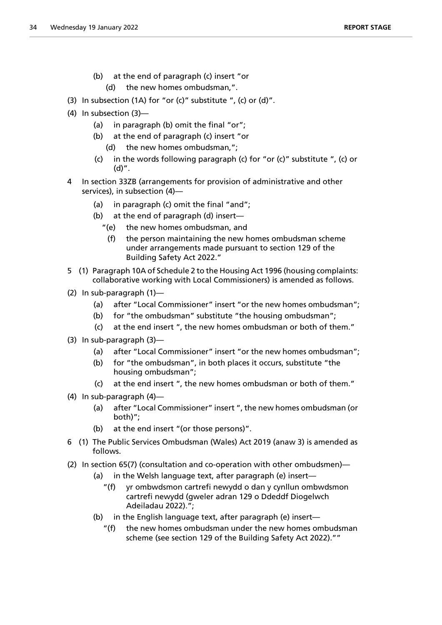- (b) at the end of paragraph (c) insert "or
	- (d) the new homes ombudsman,".
- (3) In subsection (1A) for "or (c)" substitute ", (c) or (d)".
- (4) In subsection (3)—
	- (a) in paragraph (b) omit the final "or";
	- (b) at the end of paragraph (c) insert "or
		- (d) the new homes ombudsman,";
	- (c) in the words following paragraph (c) for "or (c)" substitute ", (c) or (d)".
- 4 In section 33ZB (arrangements for provision of administrative and other services), in subsection (4)—
	- (a) in paragraph (c) omit the final "and";
	- (b) at the end of paragraph (d) insert—
		- "(e) the new homes ombudsman, and
			- (f) the person maintaining the new homes ombudsman scheme under arrangements made pursuant to section 129 of the Building Safety Act 2022."
- 5 (1) Paragraph 10A of Schedule 2 to the Housing Act 1996 (housing complaints: collaborative working with Local Commissioners) is amended as follows.
- (2) In sub-paragraph (1)—
	- (a) after "Local Commissioner" insert "or the new homes ombudsman";
	- (b) for "the ombudsman" substitute "the housing ombudsman";
	- (c) at the end insert ", the new homes ombudsman or both of them."
- (3) In sub-paragraph (3)—
	- (a) after "Local Commissioner" insert "or the new homes ombudsman";
	- (b) for "the ombudsman", in both places it occurs, substitute "the housing ombudsman";
	- (c) at the end insert ", the new homes ombudsman or both of them."
- (4) In sub-paragraph (4)—
	- (a) after "Local Commissioner" insert ", the new homes ombudsman (or both)";
	- (b) at the end insert "(or those persons)".
- 6 (1) The Public Services Ombudsman (Wales) Act 2019 (anaw 3) is amended as follows.
- (2) In section 65(7) (consultation and co-operation with other ombudsmen)—
	- (a) in the Welsh language text, after paragraph (e) insert—
		- "(f) yr ombwdsmon cartrefi newydd o dan y cynllun ombwdsmon cartrefi newydd (gweler adran 129 o Ddeddf Diogelwch Adeiladau 2022).";
	- (b) in the English language text, after paragraph (e) insert—
		- "(f) the new homes ombudsman under the new homes ombudsman scheme (see section 129 of the Building Safety Act 2022).""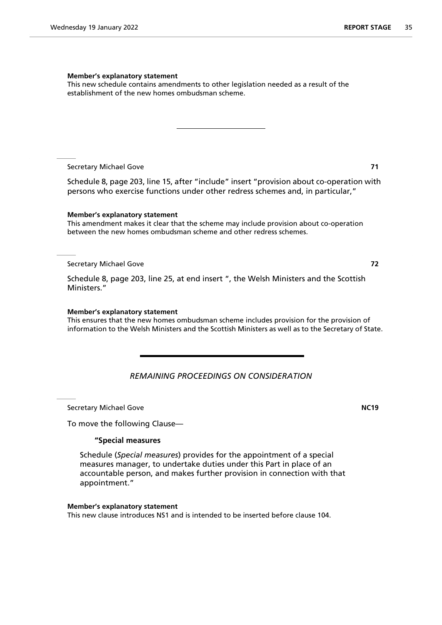#### **Member's explanatory statement**

This new schedule contains amendments to other legislation needed as a result of the establishment of the new homes ombudsman scheme.

Secretary Michael Gove **71**

Schedule 8, page 203, line 15, after "include" insert "provision about co-operation with persons who exercise functions under other redress schemes and, in particular,"

#### **Member's explanatory statement**

This amendment makes it clear that the scheme may include provision about co-operation between the new homes ombudsman scheme and other redress schemes.

#### Secretary Michael Gove **72**

Schedule 8, page 203, line 25, at end insert ", the Welsh Ministers and the Scottish Ministers."

#### **Member's explanatory statement**

This ensures that the new homes ombudsman scheme includes provision for the provision of information to the Welsh Ministers and the Scottish Ministers as well as to the Secretary of State.

# *REMAINING PROCEEDINGS ON CONSIDERATION*

Secretary Michael Gove **NC19**

To move the following Clause—

#### **"Special measures**

Schedule (*Special measures*) provides for the appointment of a special measures manager, to undertake duties under this Part in place of an accountable person, and makes further provision in connection with that appointment."

#### **Member's explanatory statement**

This new clause introduces NS1 and is intended to be inserted before clause 104.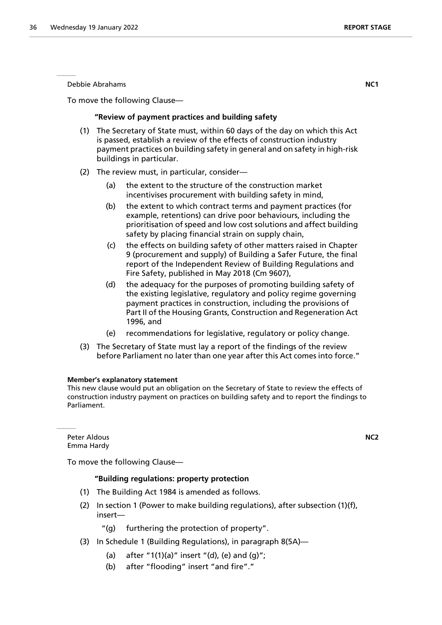Debbie Abrahams **NC1**

To move the following Clause—

#### **"Review of payment practices and building safety**

- (1) The Secretary of State must, within 60 days of the day on which this Act is passed, establish a review of the effects of construction industry payment practices on building safety in general and on safety in high-risk buildings in particular.
- (2) The review must, in particular, consider—
	- (a) the extent to the structure of the construction market incentivises procurement with building safety in mind,
	- (b) the extent to which contract terms and payment practices (for example, retentions) can drive poor behaviours, including the prioritisation of speed and low cost solutions and affect building safety by placing financial strain on supply chain,
	- (c) the effects on building safety of other matters raised in Chapter 9 (procurement and supply) of Building a Safer Future, the final report of the Independent Review of Building Regulations and Fire Safety, published in May 2018 (Cm 9607),
	- (d) the adequacy for the purposes of promoting building safety of the existing legislative, regulatory and policy regime governing payment practices in construction, including the provisions of Part II of the Housing Grants, Construction and Regeneration Act 1996, and
	- (e) recommendations for legislative, regulatory or policy change.
- (3) The Secretary of State must lay a report of the findings of the review before Parliament no later than one year after this Act comes into force."

#### **Member's explanatory statement**

This new clause would put an obligation on the Secretary of State to review the effects of construction industry payment on practices on building safety and to report the findings to Parliament.

Peter Aldous **NC2** Emma Hardy

To move the following Clause—

#### **"Building regulations: property protection**

- (1) The Building Act 1984 is amended as follows.
- (2) In section 1 (Power to make building regulations), after subsection (1)(f), insert—
	- "(g) furthering the protection of property".
- (3) In Schedule 1 (Building Regulations), in paragraph 8(5A)—
	- (a) after "1(1)(a)" insert "(d), (e) and  $(g)$ ";
	- (b) after "flooding" insert "and fire"."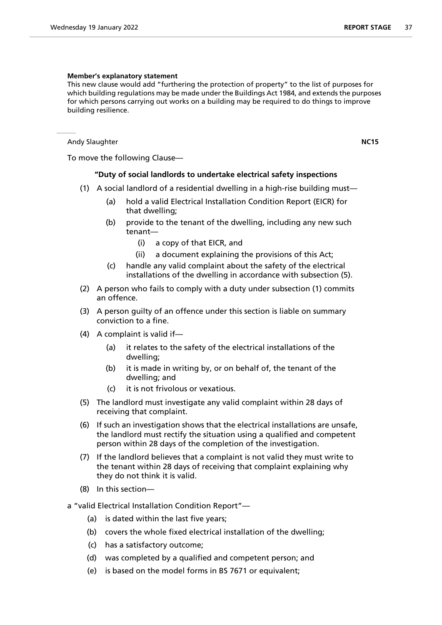# **Member's explanatory statement**

This new clause would add "furthering the protection of property" to the list of purposes for which building regulations may be made under the Buildings Act 1984, and extends the purposes for which persons carrying out works on a building may be required to do things to improve building resilience.

Andy Slaughter **NC15** 

To move the following Clause—

# **"Duty of social landlords to undertake electrical safety inspections**

- (1) A social landlord of a residential dwelling in a high-rise building must—
	- (a) hold a valid Electrical Installation Condition Report (EICR) for that dwelling;
	- (b) provide to the tenant of the dwelling, including any new such tenant—
		- (i) a copy of that EICR, and
		- (ii) a document explaining the provisions of this Act;
	- (c) handle any valid complaint about the safety of the electrical installations of the dwelling in accordance with subsection (5).
- (2) A person who fails to comply with a duty under subsection (1) commits an offence.
- (3) A person guilty of an offence under this section is liable on summary conviction to a fine.
- (4) A complaint is valid if—
	- (a) it relates to the safety of the electrical installations of the dwelling;
	- (b) it is made in writing by, or on behalf of, the tenant of the dwelling; and
	- (c) it is not frivolous or vexatious.
- (5) The landlord must investigate any valid complaint within 28 days of receiving that complaint.
- (6) If such an investigation shows that the electrical installations are unsafe, the landlord must rectify the situation using a qualified and competent person within 28 days of the completion of the investigation.
- (7) If the landlord believes that a complaint is not valid they must write to the tenant within 28 days of receiving that complaint explaining why they do not think it is valid.
- (8) In this section—
- a "valid Electrical Installation Condition Report"—
	- (a) is dated within the last five years;
	- (b) covers the whole fixed electrical installation of the dwelling;
	- (c) has a satisfactory outcome;
	- (d) was completed by a qualified and competent person; and
	- (e) is based on the model forms in BS 7671 or equivalent;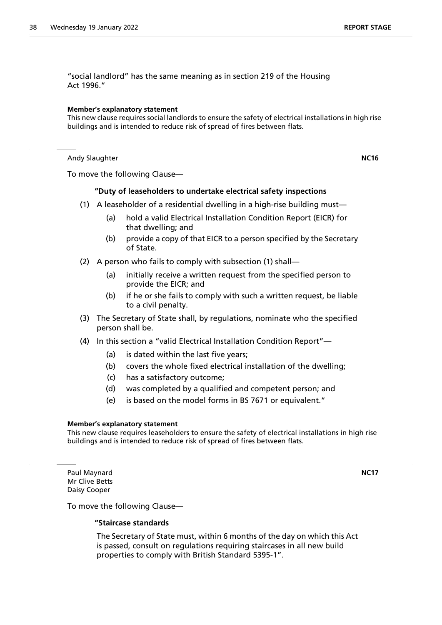"social landlord" has the same meaning as in section 219 of the Housing Act 1996."

#### **Member's explanatory statement**

This new clause requires social landlords to ensure the safety of electrical installations in high rise buildings and is intended to reduce risk of spread of fires between flats.

Andy Slaughter **NC16** 

To move the following Clause—

# **"Duty of leaseholders to undertake electrical safety inspections**

- (1) A leaseholder of a residential dwelling in a high-rise building must—
	- (a) hold a valid Electrical Installation Condition Report (EICR) for that dwelling; and
	- (b) provide a copy of that EICR to a person specified by the Secretary of State.
- (2) A person who fails to comply with subsection (1) shall—
	- (a) initially receive a written request from the specified person to provide the EICR; and
	- (b) if he or she fails to comply with such a written request, be liable to a civil penalty.
- (3) The Secretary of State shall, by regulations, nominate who the specified person shall be.
- (4) In this section a "valid Electrical Installation Condition Report"—
	- (a) is dated within the last five years;
	- (b) covers the whole fixed electrical installation of the dwelling;
	- (c) has a satisfactory outcome;
	- (d) was completed by a qualified and competent person; and
	- (e) is based on the model forms in BS 7671 or equivalent."

#### **Member's explanatory statement**

This new clause requires leaseholders to ensure the safety of electrical installations in high rise buildings and is intended to reduce risk of spread of fires between flats.

Paul Maynard **NC17** Mr Clive Betts Daisy Cooper

To move the following Clause—

#### **"Staircase standards**

 The Secretary of State must, within 6 months of the day on which this Act is passed, consult on regulations requiring staircases in all new build properties to comply with British Standard 5395-1".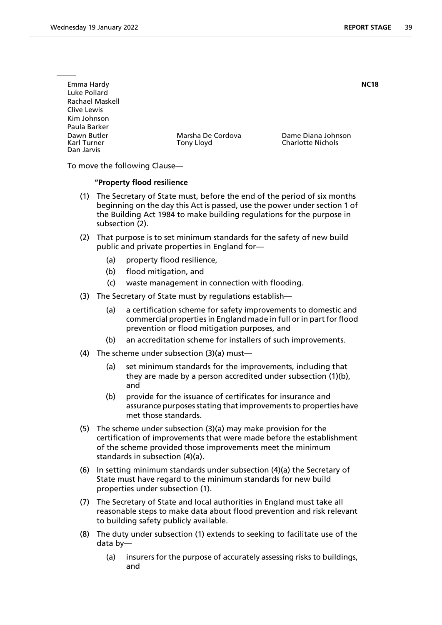| Emma Hardy<br>Luke Pollard<br>Rachael Maskell<br>Clive Lewis<br>Kim Johnson |                                 |                                                | <b>NC18</b> |
|-----------------------------------------------------------------------------|---------------------------------|------------------------------------------------|-------------|
| Paula Barker<br>Dawn Butler<br>Karl Turner<br>Dan Jarvis                    | Marsha De Cordova<br>Tony Lloyd | Dame Diana Johnson<br><b>Charlotte Nichols</b> |             |

To move the following Clause—

# **"Property flood resilience**

- (1) The Secretary of State must, before the end of the period of six months beginning on the day this Act is passed, use the power under section 1 of the Building Act 1984 to make building regulations for the purpose in subsection (2).
- (2) That purpose is to set minimum standards for the safety of new build public and private properties in England for—
	- (a) property flood resilience,
	- (b) flood mitigation, and
	- (c) waste management in connection with flooding.
- (3) The Secretary of State must by regulations establish—
	- (a) a certification scheme for safety improvements to domestic and commercial properties in England made in full or in part for flood prevention or flood mitigation purposes, and
	- (b) an accreditation scheme for installers of such improvements.
- (4) The scheme under subsection (3)(a) must—
	- (a) set minimum standards for the improvements, including that they are made by a person accredited under subsection (1)(b), and
	- (b) provide for the issuance of certificates for insurance and assurance purposes stating that improvements to properties have met those standards.
- (5) The scheme under subsection (3)(a) may make provision for the certification of improvements that were made before the establishment of the scheme provided those improvements meet the minimum standards in subsection (4)(a).
- (6) In setting minimum standards under subsection (4)(a) the Secretary of State must have regard to the minimum standards for new build properties under subsection (1).
- (7) The Secretary of State and local authorities in England must take all reasonable steps to make data about flood prevention and risk relevant to building safety publicly available.
- (8) The duty under subsection (1) extends to seeking to facilitate use of the data by—
	- (a) insurers for the purpose of accurately assessing risks to buildings, and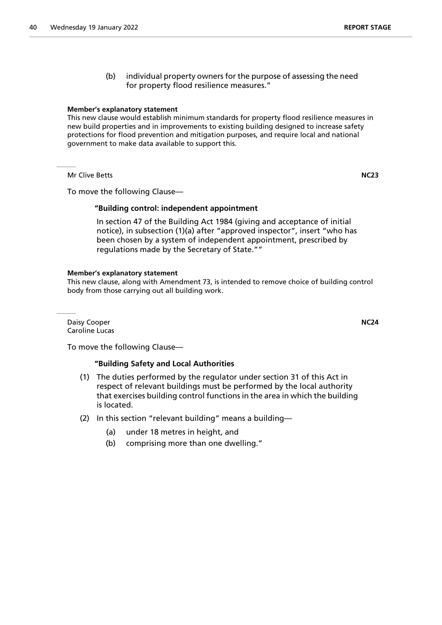(b) individual property owners for the purpose of assessing the need for property flood resilience measures."

# **Member's explanatory statement**

This new clause would establish minimum standards for property flood resilience measures in new build properties and in improvements to existing building designed to increase safety protections for flood prevention and mitigation purposes, and require local and national government to make data available to support this.

Mr Clive Betts **NC23**

To move the following Clause—

# **"Building control: independent appointment**

 In section 47 of the Building Act 1984 (giving and acceptance of initial notice), in subsection (1)(a) after "approved inspector", insert "who has been chosen by a system of independent appointment, prescribed by regulations made by the Secretary of State.""

# **Member's explanatory statement**

This new clause, along with Amendment 73, is intended to remove choice of building control body from those carrying out all building work.

Daisy Cooper **NC24** Caroline Lucas

To move the following Clause—

# **"Building Safety and Local Authorities**

- (1) The duties performed by the regulator under section 31 of this Act in respect of relevant buildings must be performed by the local authority that exercises building control functions in the area in which the building is located.
- (2) In this section "relevant building" means a building—
	- (a) under 18 metres in height, and
	- (b) comprising more than one dwelling."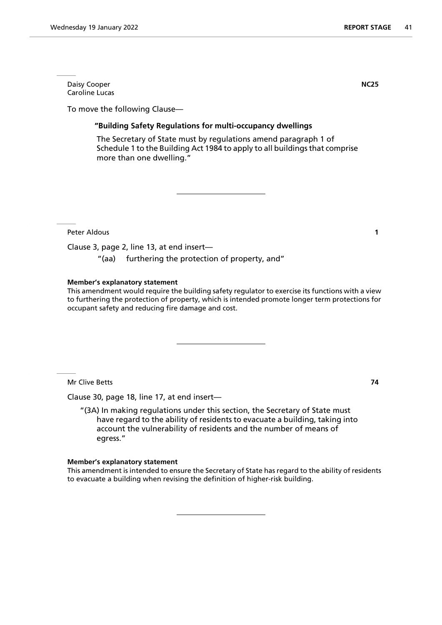Daisy Cooper **NC25** Caroline Lucas

To move the following Clause—

# **"Building Safety Regulations for multi-occupancy dwellings**

 The Secretary of State must by regulations amend paragraph 1 of Schedule 1 to the Building Act 1984 to apply to all buildings that comprise more than one dwelling."

Peter Aldous **1**

Clause 3, page 2, line 13, at end insert—

"(aa) furthering the protection of property, and"

# **Member's explanatory statement**

This amendment would require the building safety regulator to exercise its functions with a view to furthering the protection of property, which is intended promote longer term protections for occupant safety and reducing fire damage and cost.

Mr Clive Betts **74**

Clause 30, page 18, line 17, at end insert—

"(3A) In making regulations under this section, the Secretary of State must have regard to the ability of residents to evacuate a building, taking into account the vulnerability of residents and the number of means of egress."

#### **Member's explanatory statement**

This amendment is intended to ensure the Secretary of State has regard to the ability of residents to evacuate a building when revising the definition of higher-risk building.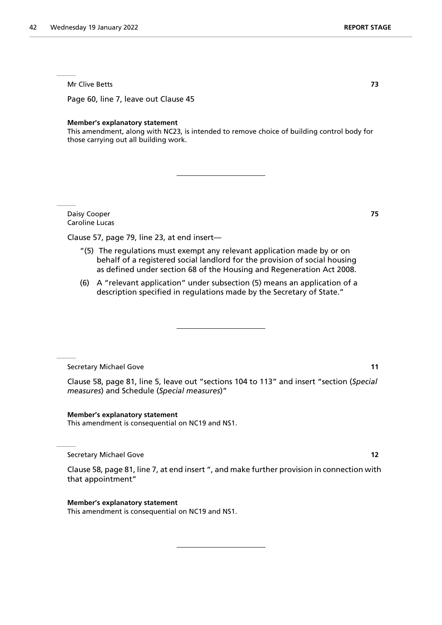Mr Clive Betts **73**

Page 60, line 7, leave out Clause 45

#### **Member's explanatory statement**

This amendment, along with NC23, is intended to remove choice of building control body for those carrying out all building work.

Daisy Cooper **75** Caroline Lucas

Clause 57, page 79, line 23, at end insert—

- "(5) The regulations must exempt any relevant application made by or on behalf of a registered social landlord for the provision of social housing as defined under section 68 of the Housing and Regeneration Act 2008.
- (6) A "relevant application" under subsection (5) means an application of a description specified in regulations made by the Secretary of State."

Secretary Michael Gove **11**

Clause 58, page 81, line 5, leave out "sections 104 to 113" and insert "section (*Special measures*) and Schedule (*Special measures*)"

**Member's explanatory statement** This amendment is consequential on NC19 and NS1.

Secretary Michael Gove **12**

Clause 58, page 81, line 7, at end insert ", and make further provision in connection with that appointment"

#### **Member's explanatory statement**

This amendment is consequential on NC19 and NS1.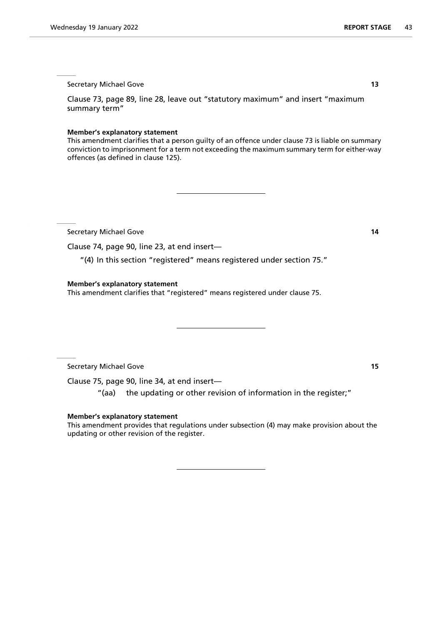Clause 73, page 89, line 28, leave out "statutory maximum" and insert "maximum summary term"

#### **Member's explanatory statement**

This amendment clarifies that a person guilty of an offence under clause 73 is liable on summary conviction to imprisonment for a term not exceeding the maximum summary term for either-way offences (as defined in clause 125).

Secretary Michael Gove **14**

Clause 74, page 90, line 23, at end insert—

"(4) In this section "registered" means registered under section 75."

#### **Member's explanatory statement**

This amendment clarifies that "registered" means registered under clause 75.

Secretary Michael Gove **15**

Clause 75, page 90, line 34, at end insert—

"(aa) the updating or other revision of information in the register;"

#### **Member's explanatory statement**

This amendment provides that regulations under subsection (4) may make provision about the updating or other revision of the register.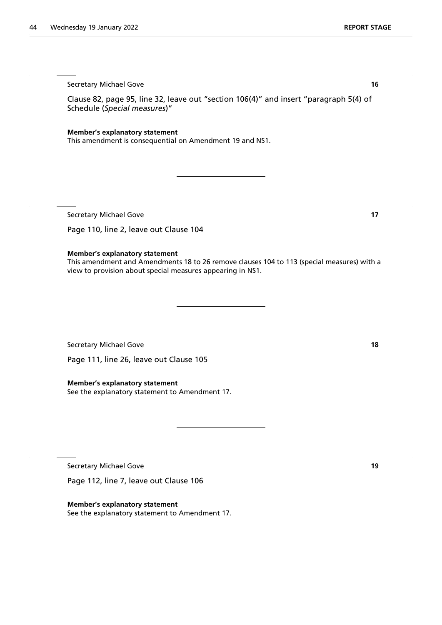Clause 82, page 95, line 32, leave out "section 106(4)" and insert "paragraph 5(4) of Schedule (*Special measures*)"

**Member's explanatory statement**

This amendment is consequential on Amendment 19 and NS1.

Secretary Michael Gove **17** 

Page 110, line 2, leave out Clause 104

#### **Member's explanatory statement**

This amendment and Amendments 18 to 26 remove clauses 104 to 113 (special measures) with a view to provision about special measures appearing in NS1.

Secretary Michael Gove **18** 

Page 111, line 26, leave out Clause 105

**Member's explanatory statement** See the explanatory statement to Amendment 17.

Secretary Michael Gove **19** 

Page 112, line 7, leave out Clause 106

**Member's explanatory statement** See the explanatory statement to Amendment 17.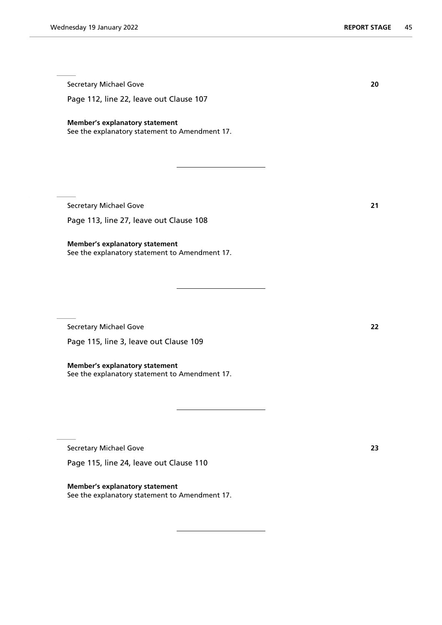Page 112, line 22, leave out Clause 107

# **Member's explanatory statement**

See the explanatory statement to Amendment 17.

Secretary Michael Gove **21**

Page 113, line 27, leave out Clause 108

**Member's explanatory statement** See the explanatory statement to Amendment 17.

Secretary Michael Gove **22**

Page 115, line 3, leave out Clause 109

**Member's explanatory statement** See the explanatory statement to Amendment 17.

Secretary Michael Gove **23**

Page 115, line 24, leave out Clause 110

**Member's explanatory statement** See the explanatory statement to Amendment 17.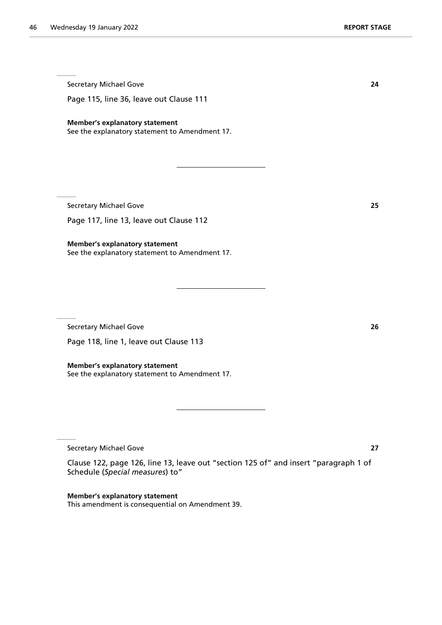Secretary Michael Gove **24** Page 115, line 36, leave out Clause 111 **Member's explanatory statement** See the explanatory statement to Amendment 17.

Secretary Michael Gove **25**

Page 117, line 13, leave out Clause 112

**Member's explanatory statement** See the explanatory statement to Amendment 17.

Secretary Michael Gove **26**

Page 118, line 1, leave out Clause 113

**Member's explanatory statement** See the explanatory statement to Amendment 17.

Secretary Michael Gove **27**

Clause 122, page 126, line 13, leave out "section 125 of" and insert "paragraph 1 of Schedule (*Special measures*) to"

**Member's explanatory statement** This amendment is consequential on Amendment 39.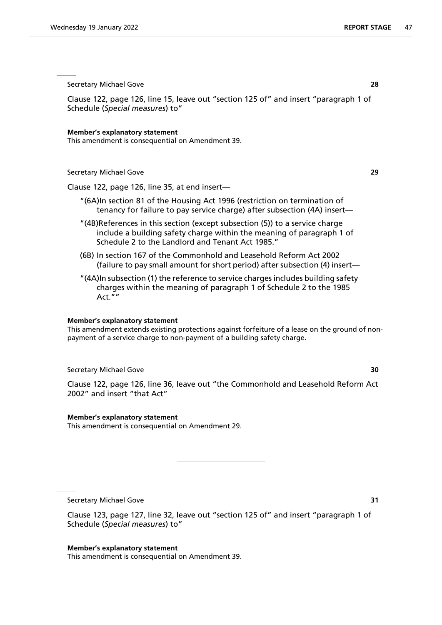Clause 122, page 126, line 15, leave out "section 125 of" and insert "paragraph 1 of Schedule (*Special measures*) to"

#### **Member's explanatory statement**

This amendment is consequential on Amendment 39.

Secretary Michael Gove **29**

Clause 122, page 126, line 35, at end insert—

- "(6A)In section 81 of the Housing Act 1996 (restriction on termination of tenancy for failure to pay service charge) after subsection (4A) insert—
- "(4B)References in this section (except subsection (5)) to a service charge include a building safety charge within the meaning of paragraph 1 of Schedule 2 to the Landlord and Tenant Act 1985."
- (6B) In section 167 of the Commonhold and Leasehold Reform Act 2002 (failure to pay small amount for short period) after subsection (4) insert—
- "(4A)In subsection (1) the reference to service charges includes building safety charges within the meaning of paragraph 1 of Schedule 2 to the 1985 Act. $\overline{''}$ "

#### **Member's explanatory statement**

This amendment extends existing protections against forfeiture of a lease on the ground of nonpayment of a service charge to non-payment of a building safety charge.

# Secretary Michael Gove **30**

Clause 122, page 126, line 36, leave out "the Commonhold and Leasehold Reform Act 2002" and insert "that Act"

#### **Member's explanatory statement**

This amendment is consequential on Amendment 29.

Secretary Michael Gove **31** 

Clause 123, page 127, line 32, leave out "section 125 of" and insert "paragraph 1 of Schedule (*Special measures*) to"

**Member's explanatory statement** This amendment is consequential on Amendment 39.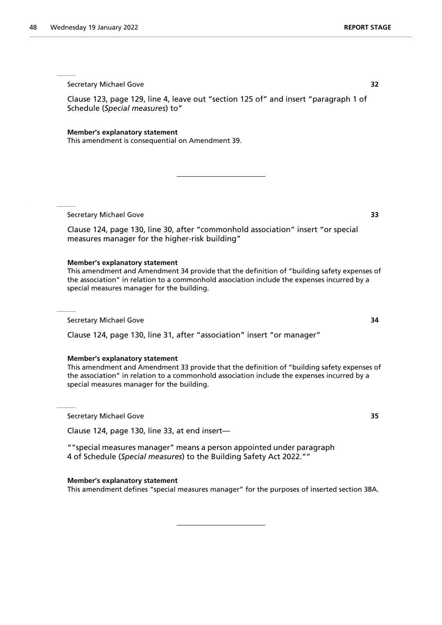Clause 123, page 129, line 4, leave out "section 125 of" and insert "paragraph 1 of Schedule (*Special measures*) to"

**Member's explanatory statement**

This amendment is consequential on Amendment 39.

Secretary Michael Gove **33**

Clause 124, page 130, line 30, after "commonhold association" insert "or special measures manager for the higher-risk building"

# **Member's explanatory statement**

This amendment and Amendment 34 provide that the definition of "building safety expenses of the association" in relation to a commonhold association include the expenses incurred by a special measures manager for the building.

Secretary Michael Gove **34**

Clause 124, page 130, line 31, after "association" insert "or manager"

# **Member's explanatory statement**

This amendment and Amendment 33 provide that the definition of "building safety expenses of the association" in relation to a commonhold association include the expenses incurred by a special measures manager for the building.

Secretary Michael Gove **35**

Clause 124, page 130, line 33, at end insert—

""special measures manager" means a person appointed under paragraph 4 of Schedule (*Special measures*) to the Building Safety Act 2022.""

#### **Member's explanatory statement**

This amendment defines "special measures manager" for the purposes of inserted section 38A.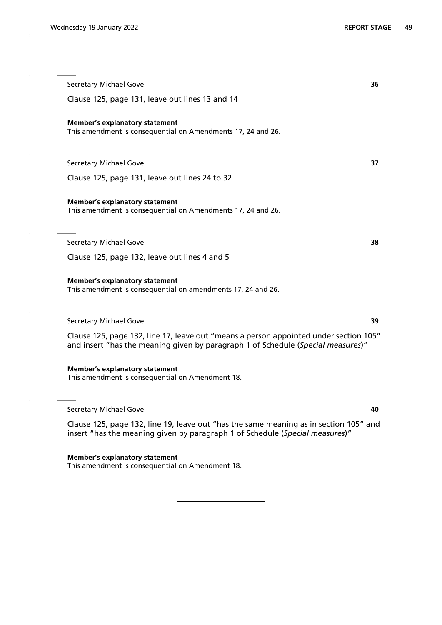Secretary Michael Gove **36** Clause 125, page 131, leave out lines 13 and 14 **Member's explanatory statement** This amendment is consequential on Amendments 17, 24 and 26. Secretary Michael Gove **37** Clause 125, page 131, leave out lines 24 to 32 **Member's explanatory statement** This amendment is consequential on Amendments 17, 24 and 26. Secretary Michael Gove **38** Clause 125, page 132, leave out lines 4 and 5 **Member's explanatory statement** This amendment is consequential on amendments 17, 24 and 26. Secretary Michael Gove **39** Clause 125, page 132, line 17, leave out "means a person appointed under section 105" and insert "has the meaning given by paragraph 1 of Schedule (*Special measures*)" **Member's explanatory statement** This amendment is consequential on Amendment 18. Secretary Michael Gove **40** Clause 125, page 132, line 19, leave out "has the same meaning as in section 105" and insert "has the meaning given by paragraph 1 of Schedule (*Special measures*)"

**Member's explanatory statement** This amendment is consequential on Amendment 18.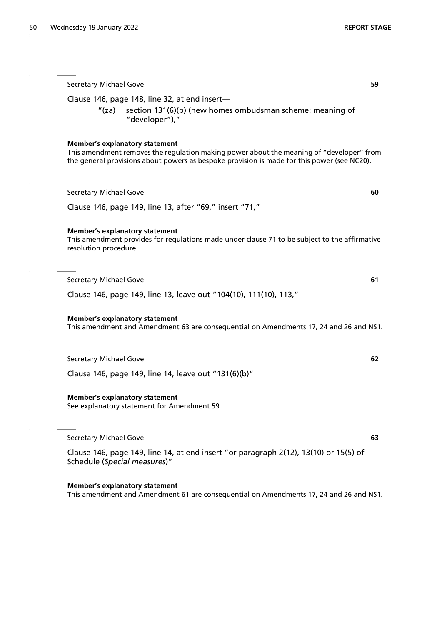Secretary Michael Gove **59** Clause 146, page 148, line 32, at end insert— "(za) section 131(6)(b) (new homes ombudsman scheme: meaning of "developer")," **Member's explanatory statement** This amendment removes the regulation making power about the meaning of "developer" from the general provisions about powers as bespoke provision is made for this power (see NC20). Secretary Michael Gove **60** Clause 146, page 149, line 13, after "69," insert "71," **Member's explanatory statement** This amendment provides for regulations made under clause 71 to be subject to the affirmative resolution procedure. Secretary Michael Gove **61** Clause 146, page 149, line 13, leave out "104(10), 111(10), 113," **Member's explanatory statement** This amendment and Amendment 63 are consequential on Amendments 17, 24 and 26 and NS1. Secretary Michael Gove **62** Clause 146, page 149, line 14, leave out "131(6)(b)" **Member's explanatory statement** See explanatory statement for Amendment 59. Secretary Michael Gove **63** Clause 146, page 149, line 14, at end insert "or paragraph 2(12), 13(10) or 15(5) of Schedule (*Special measures*)" **Member's explanatory statement** This amendment and Amendment 61 are consequential on Amendments 17, 24 and 26 and NS1.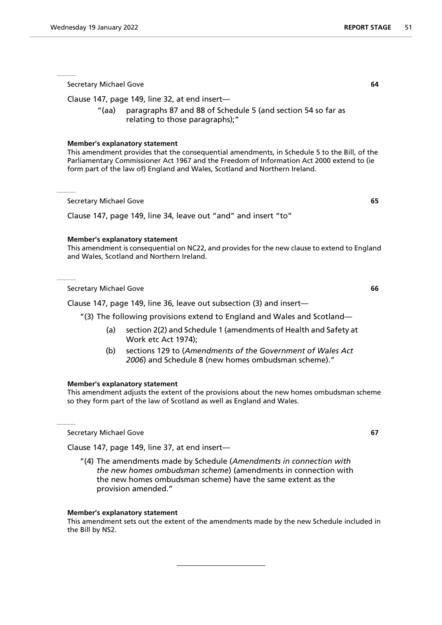Clause 147, page 149, line 32, at end insert—

"(aa) paragraphs 87 and 88 of Schedule 5 (and section 54 so far as relating to those paragraphs);"

#### **Member's explanatory statement**

This amendment provides that the consequential amendments, in Schedule 5 to the Bill, of the Parliamentary Commissioner Act 1967 and the Freedom of Information Act 2000 extend to (ie form part of the law of) England and Wales, Scotland and Northern Ireland.

Secretary Michael Gove **65**

Clause 147, page 149, line 34, leave out "and" and insert "to"

# **Member's explanatory statement**

This amendment is consequential on NC22, and provides for the new clause to extend to England and Wales, Scotland and Northern Ireland.

Secretary Michael Gove **66**

Clause 147, page 149, line 36, leave out subsection (3) and insert—

"(3) The following provisions extend to England and Wales and Scotland—

- (a) section 2(2) and Schedule 1 (amendments of Health and Safety at Work etc Act 1974);
- (b) sections 129 to (*Amendments of the Government of Wales Act 2006*) and Schedule 8 (new homes ombudsman scheme)."

#### **Member's explanatory statement**

This amendment adjusts the extent of the provisions about the new homes ombudsman scheme so they form part of the law of Scotland as well as England and Wales.

Secretary Michael Gove **67**

Clause 147, page 149, line 37, at end insert—

"(4) The amendments made by Schedule (*Amendments in connection with the new homes ombudsman scheme*) (amendments in connection with the new homes ombudsman scheme) have the same extent as the provision amended."

#### **Member's explanatory statement**

This amendment sets out the extent of the amendments made by the new Schedule included in the Bill by NS2.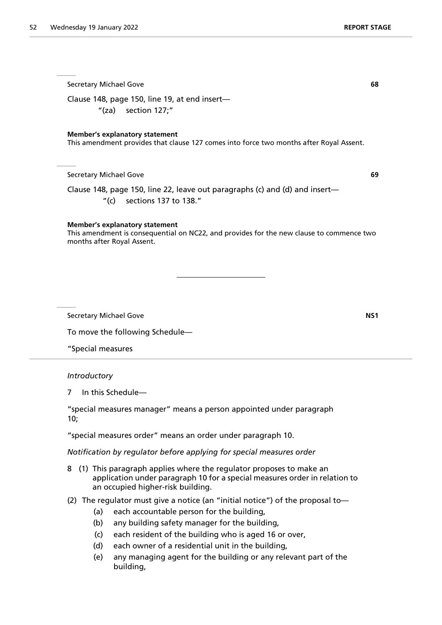| <b>Secretary Michael Gove</b>                                                                                                                                                              | 68  |
|--------------------------------------------------------------------------------------------------------------------------------------------------------------------------------------------|-----|
| Clause 148, page 150, line 19, at end insert-<br>" $(za)$ section $127;$ "                                                                                                                 |     |
| <b>Member's explanatory statement</b><br>This amendment provides that clause 127 comes into force two months after Royal Assent.                                                           |     |
| <b>Secretary Michael Gove</b>                                                                                                                                                              | 69  |
| Clause 148, page 150, line 22, leave out paragraphs (c) and (d) and insert—<br>$^{\prime\prime}$ (c)<br>sections 137 to 138."                                                              |     |
| <b>Member's explanatory statement</b><br>This amendment is consequential on NC22, and provides for the new clause to commence two<br>months after Royal Assent.                            |     |
|                                                                                                                                                                                            |     |
|                                                                                                                                                                                            |     |
| <b>Secretary Michael Gove</b>                                                                                                                                                              | NS1 |
| To move the following Schedule-                                                                                                                                                            |     |
| "Special measures                                                                                                                                                                          |     |
| Introductory                                                                                                                                                                               |     |
| In this Schedule-<br>7                                                                                                                                                                     |     |
| "special measures manager" means a person appointed under paragraph<br>10;                                                                                                                 |     |
| "special measures order" means an order under paragraph 10.                                                                                                                                |     |
| Notification by regulator before applying for special measures order                                                                                                                       |     |
| (1) This paragraph applies where the regulator proposes to make an<br>8<br>application under paragraph 10 for a special measures order in relation to<br>an occupied higher-risk building. |     |

- (2) The regulator must give a notice (an "initial notice") of the proposal to—
	- (a) each accountable person for the building,
	- (b) any building safety manager for the building,
	- (c) each resident of the building who is aged 16 or over,
	- (d) each owner of a residential unit in the building,
	- (e) any managing agent for the building or any relevant part of the building,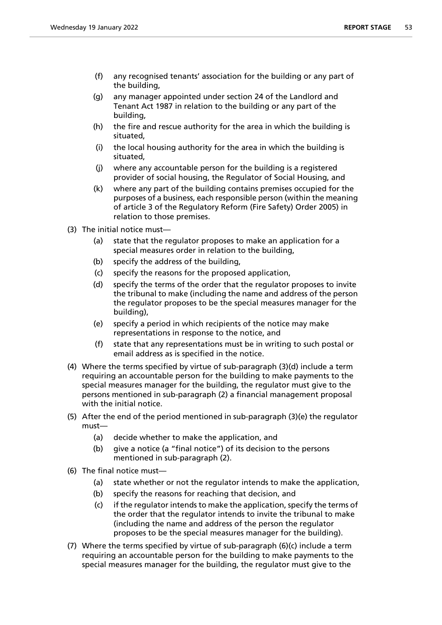- (f) any recognised tenants' association for the building or any part of the building,
- (g) any manager appointed under section 24 of the Landlord and Tenant Act 1987 in relation to the building or any part of the building,
- (h) the fire and rescue authority for the area in which the building is situated,
- (i) the local housing authority for the area in which the building is situated,
- (j) where any accountable person for the building is a registered provider of social housing, the Regulator of Social Housing, and
- (k) where any part of the building contains premises occupied for the purposes of a business, each responsible person (within the meaning of article 3 of the Regulatory Reform (Fire Safety) Order 2005) in relation to those premises.
- (3) The initial notice must—
	- (a) state that the regulator proposes to make an application for a special measures order in relation to the building,
	- (b) specify the address of the building,
	- (c) specify the reasons for the proposed application,
	- (d) specify the terms of the order that the regulator proposes to invite the tribunal to make (including the name and address of the person the regulator proposes to be the special measures manager for the building),
	- (e) specify a period in which recipients of the notice may make representations in response to the notice, and
	- (f) state that any representations must be in writing to such postal or email address as is specified in the notice.
- (4) Where the terms specified by virtue of sub-paragraph (3)(d) include a term requiring an accountable person for the building to make payments to the special measures manager for the building, the regulator must give to the persons mentioned in sub-paragraph (2) a financial management proposal with the initial notice.
- (5) After the end of the period mentioned in sub-paragraph (3)(e) the regulator must—
	- (a) decide whether to make the application, and
	- (b) give a notice (a "final notice") of its decision to the persons mentioned in sub-paragraph (2).
- (6) The final notice must—
	- (a) state whether or not the regulator intends to make the application,
	- (b) specify the reasons for reaching that decision, and
	- (c) if the regulator intends to make the application, specify the terms of the order that the regulator intends to invite the tribunal to make (including the name and address of the person the regulator proposes to be the special measures manager for the building).
- (7) Where the terms specified by virtue of sub-paragraph (6)(c) include a term requiring an accountable person for the building to make payments to the special measures manager for the building, the regulator must give to the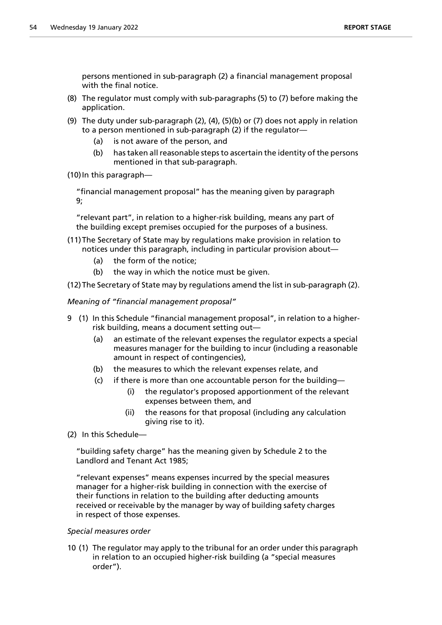persons mentioned in sub-paragraph (2) a financial management proposal with the final notice.

- (8) The regulator must comply with sub-paragraphs (5) to (7) before making the application.
- (9) The duty under sub-paragraph (2), (4), (5)(b) or (7) does not apply in relation to a person mentioned in sub-paragraph (2) if the regulator—
	- (a) is not aware of the person, and
	- (b) has taken all reasonable steps to ascertain the identity of the persons mentioned in that sub-paragraph.
- (10)In this paragraph—

"financial management proposal" has the meaning given by paragraph 9;

"relevant part", in relation to a higher-risk building, means any part of the building except premises occupied for the purposes of a business.

- (11)The Secretary of State may by regulations make provision in relation to notices under this paragraph, including in particular provision about—
	- (a) the form of the notice;
	- (b) the way in which the notice must be given.

(12)The Secretary of State may by regulations amend the list in sub-paragraph (2).

*Meaning of "financial management proposal"*

- 9 (1) In this Schedule "financial management proposal", in relation to a higherrisk building, means a document setting out—
	- (a) an estimate of the relevant expenses the regulator expects a special measures manager for the building to incur (including a reasonable amount in respect of contingencies),
	- (b) the measures to which the relevant expenses relate, and
	- (c) if there is more than one accountable person for the building—
		- (i) the regulator's proposed apportionment of the relevant expenses between them, and
		- (ii) the reasons for that proposal (including any calculation giving rise to it).
- (2) In this Schedule—

"building safety charge" has the meaning given by Schedule 2 to the Landlord and Tenant Act 1985;

"relevant expenses" means expenses incurred by the special measures manager for a higher-risk building in connection with the exercise of their functions in relation to the building after deducting amounts received or receivable by the manager by way of building safety charges in respect of those expenses.

# *Special measures order*

10 (1) The regulator may apply to the tribunal for an order under this paragraph in relation to an occupied higher-risk building (a "special measures order").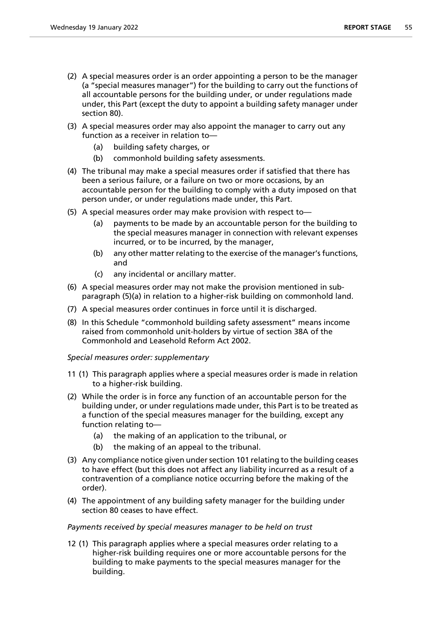- (2) A special measures order is an order appointing a person to be the manager (a "special measures manager") for the building to carry out the functions of all accountable persons for the building under, or under regulations made under, this Part (except the duty to appoint a building safety manager under section 80).
- (3) A special measures order may also appoint the manager to carry out any function as a receiver in relation to—
	- (a) building safety charges, or
	- (b) commonhold building safety assessments.
- (4) The tribunal may make a special measures order if satisfied that there has been a serious failure, or a failure on two or more occasions, by an accountable person for the building to comply with a duty imposed on that person under, or under regulations made under, this Part.
- (5) A special measures order may make provision with respect to—
	- (a) payments to be made by an accountable person for the building to the special measures manager in connection with relevant expenses incurred, or to be incurred, by the manager,
	- (b) any other matter relating to the exercise of the manager's functions, and
	- (c) any incidental or ancillary matter.
- (6) A special measures order may not make the provision mentioned in subparagraph (5)(a) in relation to a higher-risk building on commonhold land.
- (7) A special measures order continues in force until it is discharged.
- (8) In this Schedule "commonhold building safety assessment" means income raised from commonhold unit-holders by virtue of section 38A of the Commonhold and Leasehold Reform Act 2002.

*Special measures order: supplementary*

- 11 (1) This paragraph applies where a special measures order is made in relation to a higher-risk building.
- (2) While the order is in force any function of an accountable person for the building under, or under regulations made under, this Part is to be treated as a function of the special measures manager for the building, except any function relating to—
	- (a) the making of an application to the tribunal, or
	- (b) the making of an appeal to the tribunal.
- (3) Any compliance notice given under section 101 relating to the building ceases to have effect (but this does not affect any liability incurred as a result of a contravention of a compliance notice occurring before the making of the order).
- (4) The appointment of any building safety manager for the building under section 80 ceases to have effect.

# *Payments received by special measures manager to be held on trust*

12 (1) This paragraph applies where a special measures order relating to a higher-risk building requires one or more accountable persons for the building to make payments to the special measures manager for the building.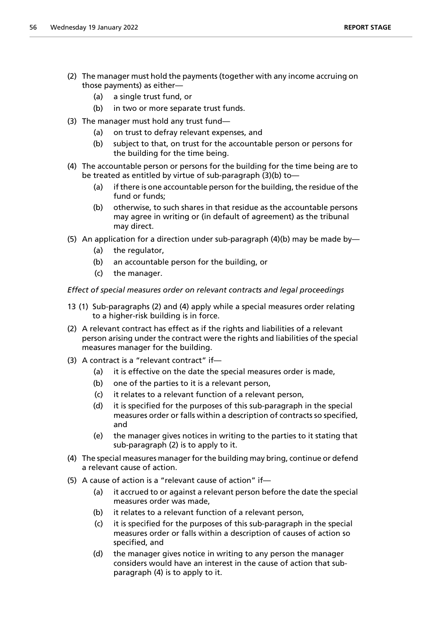- (2) The manager must hold the payments (together with any income accruing on those payments) as either—
	- (a) a single trust fund, or
	- (b) in two or more separate trust funds.
- (3) The manager must hold any trust fund—
	- (a) on trust to defray relevant expenses, and
	- (b) subject to that, on trust for the accountable person or persons for the building for the time being.
- (4) The accountable person or persons for the building for the time being are to be treated as entitled by virtue of sub-paragraph (3)(b) to—
	- (a) if there is one accountable person for the building, the residue of the fund or funds;
	- (b) otherwise, to such shares in that residue as the accountable persons may agree in writing or (in default of agreement) as the tribunal may direct.
- (5) An application for a direction under sub-paragraph (4)(b) may be made by—
	- (a) the regulator,
	- (b) an accountable person for the building, or
	- (c) the manager.

*Effect of special measures order on relevant contracts and legal proceedings*

- 13 (1) Sub-paragraphs (2) and (4) apply while a special measures order relating to a higher-risk building is in force.
- (2) A relevant contract has effect as if the rights and liabilities of a relevant person arising under the contract were the rights and liabilities of the special measures manager for the building.
- (3) A contract is a "relevant contract" if—
	- (a) it is effective on the date the special measures order is made,
	- (b) one of the parties to it is a relevant person,
	- (c) it relates to a relevant function of a relevant person,
	- (d) it is specified for the purposes of this sub-paragraph in the special measures order or falls within a description of contracts so specified, and
	- (e) the manager gives notices in writing to the parties to it stating that sub-paragraph (2) is to apply to it.
- (4) The special measures manager for the building may bring, continue or defend a relevant cause of action.
- (5) A cause of action is a "relevant cause of action" if—
	- (a) it accrued to or against a relevant person before the date the special measures order was made,
	- (b) it relates to a relevant function of a relevant person,
	- (c) it is specified for the purposes of this sub-paragraph in the special measures order or falls within a description of causes of action so specified, and
	- (d) the manager gives notice in writing to any person the manager considers would have an interest in the cause of action that subparagraph (4) is to apply to it.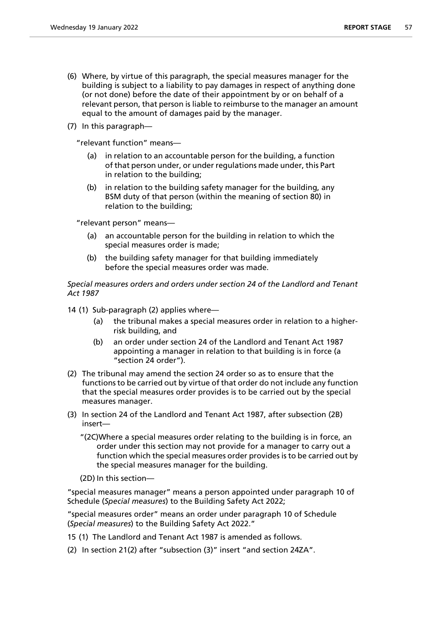- (6) Where, by virtue of this paragraph, the special measures manager for the building is subject to a liability to pay damages in respect of anything done (or not done) before the date of their appointment by or on behalf of a relevant person, that person is liable to reimburse to the manager an amount equal to the amount of damages paid by the manager.
- (7) In this paragraph—

"relevant function" means—

- in relation to an accountable person for the building, a function of that person under, or under regulations made under, this Part in relation to the building;
- (b) in relation to the building safety manager for the building, any BSM duty of that person (within the meaning of section 80) in relation to the building;

"relevant person" means—

- (a) an accountable person for the building in relation to which the special measures order is made;
- (b) the building safety manager for that building immediately before the special measures order was made.

*Special measures orders and orders under section 24 of the Landlord and Tenant Act 1987*

- 14 (1) Sub-paragraph (2) applies where—
	- (a) the tribunal makes a special measures order in relation to a higherrisk building, and
	- (b) an order under section 24 of the Landlord and Tenant Act 1987 appointing a manager in relation to that building is in force (a "section 24 order").
- (2) The tribunal may amend the section 24 order so as to ensure that the functions to be carried out by virtue of that order do not include any function that the special measures order provides is to be carried out by the special measures manager.
- (3) In section 24 of the Landlord and Tenant Act 1987, after subsection (2B) insert—
	- "(2C)Where a special measures order relating to the building is in force, an order under this section may not provide for a manager to carry out a function which the special measures order provides is to be carried out by the special measures manager for the building.
	- (2D) In this section—

"special measures manager" means a person appointed under paragraph 10 of Schedule (*Special measures*) to the Building Safety Act 2022;

"special measures order" means an order under paragraph 10 of Schedule (*Special measures*) to the Building Safety Act 2022."

- 15 (1) The Landlord and Tenant Act 1987 is amended as follows.
- (2) In section 21(2) after "subsection (3)" insert "and section 24ZA".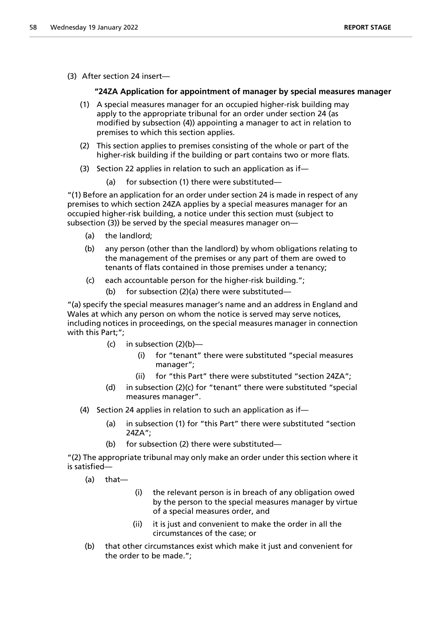(3) After section 24 insert—

# **"24ZA Application for appointment of manager by special measures manager**

- (1) A special measures manager for an occupied higher-risk building may apply to the appropriate tribunal for an order under section 24 (as modified by subsection (4)) appointing a manager to act in relation to premises to which this section applies.
- (2) This section applies to premises consisting of the whole or part of the higher-risk building if the building or part contains two or more flats.
- (3) Section 22 applies in relation to such an application as if—
	- (a) for subsection (1) there were substituted—

"(1) Before an application for an order under section 24 is made in respect of any premises to which section 24ZA applies by a special measures manager for an occupied higher-risk building, a notice under this section must (subject to subsection (3)) be served by the special measures manager on—

- (a) the landlord;
- (b) any person (other than the landlord) by whom obligations relating to the management of the premises or any part of them are owed to tenants of flats contained in those premises under a tenancy;
- (c) each accountable person for the higher-risk building.";
	- (b) for subsection (2)(a) there were substituted—

"(a) specify the special measures manager's name and an address in England and Wales at which any person on whom the notice is served may serve notices, including notices in proceedings, on the special measures manager in connection with this Part;";

- (c) in subsection  $(2)(b)$ 
	- (i) for "tenant" there were substituted "special measures manager";
	- (ii) for "this Part" there were substituted "section 24ZA";
- (d) in subsection (2)(c) for "tenant" there were substituted "special measures manager".
- (4) Section 24 applies in relation to such an application as if—
	- (a) in subsection (1) for "this Part" there were substituted "section 24ZA";
	- (b) for subsection (2) there were substituted—

"(2) The appropriate tribunal may only make an order under this section where it is satisfied—

(a) that—

- (i) the relevant person is in breach of any obligation owed by the person to the special measures manager by virtue of a special measures order, and
- (ii) it is just and convenient to make the order in all the circumstances of the case; or
- (b) that other circumstances exist which make it just and convenient for the order to be made.";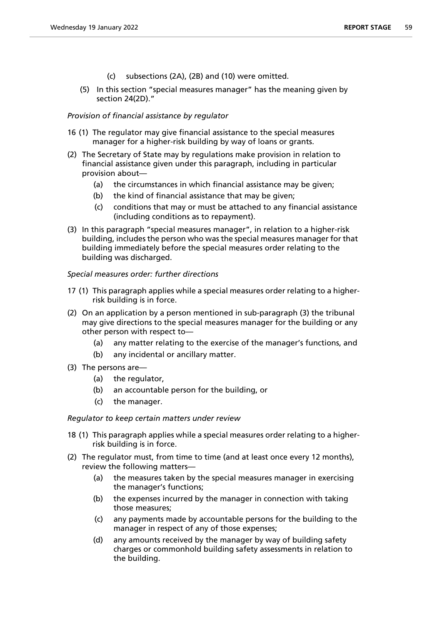- (c) subsections (2A), (2B) and (10) were omitted.
- (5) In this section "special measures manager" has the meaning given by section 24(2D)."

# *Provision of financial assistance by regulator*

- 16 (1) The regulator may give financial assistance to the special measures manager for a higher-risk building by way of loans or grants.
- (2) The Secretary of State may by regulations make provision in relation to financial assistance given under this paragraph, including in particular provision about—
	- (a) the circumstances in which financial assistance may be given;
	- (b) the kind of financial assistance that may be given;
	- (c) conditions that may or must be attached to any financial assistance (including conditions as to repayment).
- (3) In this paragraph "special measures manager", in relation to a higher-risk building, includes the person who was the special measures manager for that building immediately before the special measures order relating to the building was discharged.

# *Special measures order: further directions*

- 17 (1) This paragraph applies while a special measures order relating to a higherrisk building is in force.
- (2) On an application by a person mentioned in sub-paragraph (3) the tribunal may give directions to the special measures manager for the building or any other person with respect to—
	- (a) any matter relating to the exercise of the manager's functions, and
	- (b) any incidental or ancillary matter.
- (3) The persons are—
	- (a) the regulator,
	- (b) an accountable person for the building, or
	- (c) the manager.

# *Regulator to keep certain matters under review*

- 18 (1) This paragraph applies while a special measures order relating to a higherrisk building is in force.
- (2) The regulator must, from time to time (and at least once every 12 months), review the following matters—
	- (a) the measures taken by the special measures manager in exercising the manager's functions;
	- (b) the expenses incurred by the manager in connection with taking those measures;
	- (c) any payments made by accountable persons for the building to the manager in respect of any of those expenses;
	- (d) any amounts received by the manager by way of building safety charges or commonhold building safety assessments in relation to the building.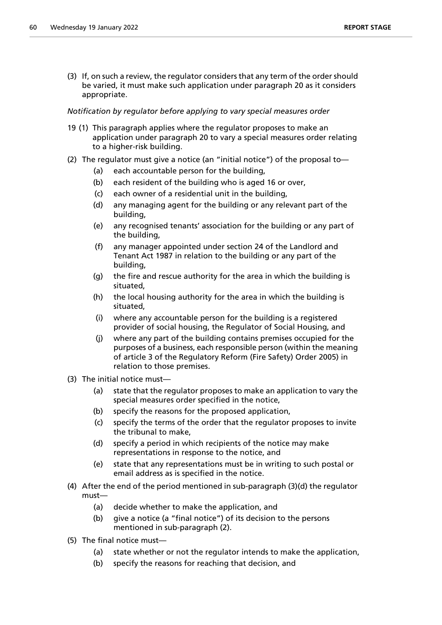(3) If, on such a review, the regulator considers that any term of the order should be varied, it must make such application under paragraph 20 as it considers appropriate.

# *Notification by regulator before applying to vary special measures order*

- 19 (1) This paragraph applies where the regulator proposes to make an application under paragraph 20 to vary a special measures order relating to a higher-risk building.
- (2) The regulator must give a notice (an "initial notice") of the proposal to—
	- (a) each accountable person for the building,
	- (b) each resident of the building who is aged 16 or over,
	- (c) each owner of a residential unit in the building,
	- (d) any managing agent for the building or any relevant part of the building,
	- (e) any recognised tenants' association for the building or any part of the building,
	- (f) any manager appointed under section 24 of the Landlord and Tenant Act 1987 in relation to the building or any part of the building,
	- (g) the fire and rescue authority for the area in which the building is situated,
	- (h) the local housing authority for the area in which the building is situated,
	- (i) where any accountable person for the building is a registered provider of social housing, the Regulator of Social Housing, and
	- (j) where any part of the building contains premises occupied for the purposes of a business, each responsible person (within the meaning of article 3 of the Regulatory Reform (Fire Safety) Order 2005) in relation to those premises.
- (3) The initial notice must—
	- (a) state that the regulator proposes to make an application to vary the special measures order specified in the notice,
	- (b) specify the reasons for the proposed application,
	- (c) specify the terms of the order that the regulator proposes to invite the tribunal to make,
	- (d) specify a period in which recipients of the notice may make representations in response to the notice, and
	- (e) state that any representations must be in writing to such postal or email address as is specified in the notice.
- (4) After the end of the period mentioned in sub-paragraph (3)(d) the regulator must—
	- (a) decide whether to make the application, and
	- (b) give a notice (a "final notice") of its decision to the persons mentioned in sub-paragraph (2).
- (5) The final notice must—
	- (a) state whether or not the regulator intends to make the application,
	- (b) specify the reasons for reaching that decision, and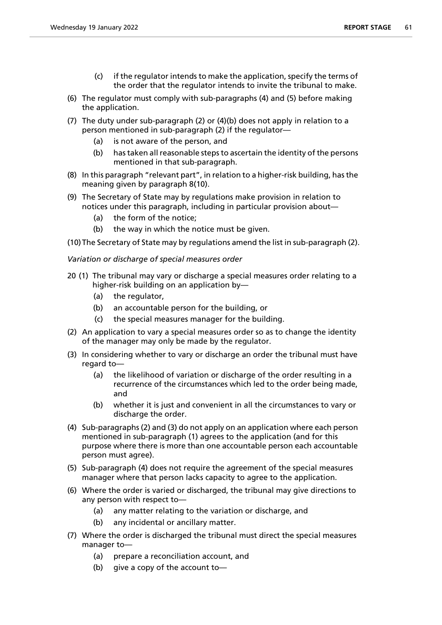- (c) if the regulator intends to make the application, specify the terms of the order that the regulator intends to invite the tribunal to make.
- (6) The regulator must comply with sub-paragraphs (4) and (5) before making the application.
- (7) The duty under sub-paragraph (2) or (4)(b) does not apply in relation to a person mentioned in sub-paragraph (2) if the regulator—
	- (a) is not aware of the person, and
	- (b) has taken all reasonable steps to ascertain the identity of the persons mentioned in that sub-paragraph.
- (8) In this paragraph "relevant part", in relation to a higher-risk building, has the meaning given by paragraph 8(10).
- (9) The Secretary of State may by regulations make provision in relation to notices under this paragraph, including in particular provision about—
	- (a) the form of the notice;
	- (b) the way in which the notice must be given.
- (10)The Secretary of State may by regulations amend the list in sub-paragraph (2).
- *Variation or discharge of special measures order*
- 20 (1) The tribunal may vary or discharge a special measures order relating to a higher-risk building on an application by—
	- (a) the regulator,
	- (b) an accountable person for the building, or
	- (c) the special measures manager for the building.
- (2) An application to vary a special measures order so as to change the identity of the manager may only be made by the regulator.
- (3) In considering whether to vary or discharge an order the tribunal must have regard to—
	- (a) the likelihood of variation or discharge of the order resulting in a recurrence of the circumstances which led to the order being made, and
	- (b) whether it is just and convenient in all the circumstances to vary or discharge the order.
- (4) Sub-paragraphs (2) and (3) do not apply on an application where each person mentioned in sub-paragraph (1) agrees to the application (and for this purpose where there is more than one accountable person each accountable person must agree).
- (5) Sub-paragraph (4) does not require the agreement of the special measures manager where that person lacks capacity to agree to the application.
- (6) Where the order is varied or discharged, the tribunal may give directions to any person with respect to—
	- (a) any matter relating to the variation or discharge, and
	- (b) any incidental or ancillary matter.
- (7) Where the order is discharged the tribunal must direct the special measures manager to—
	- (a) prepare a reconciliation account, and
	- (b) give a copy of the account to—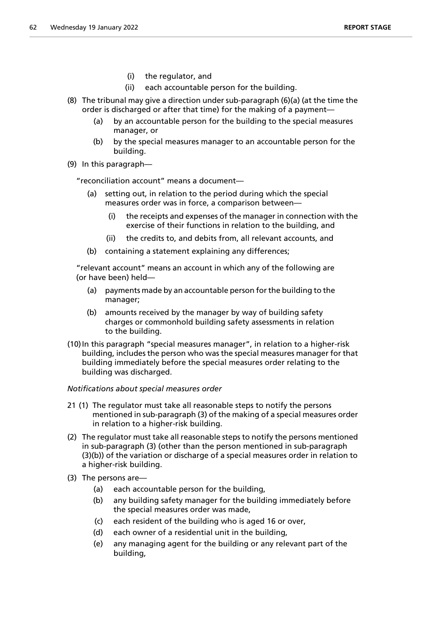- (i) the regulator, and
- (ii) each accountable person for the building.
- (8) The tribunal may give a direction under sub-paragraph (6)(a) (at the time the order is discharged or after that time) for the making of a payment—
	- (a) by an accountable person for the building to the special measures manager, or
	- (b) by the special measures manager to an accountable person for the building.
- (9) In this paragraph—

"reconciliation account" means a document—

- setting out, in relation to the period during which the special measures order was in force, a comparison between—
	- (i) the receipts and expenses of the manager in connection with the exercise of their functions in relation to the building, and
	- (ii) the credits to, and debits from, all relevant accounts, and
- (b) containing a statement explaining any differences;

"relevant account" means an account in which any of the following are (or have been) held—

- (a) payments made by an accountable person for the building to the manager;
- (b) amounts received by the manager by way of building safety charges or commonhold building safety assessments in relation to the building.
- (10)In this paragraph "special measures manager", in relation to a higher-risk building, includes the person who was the special measures manager for that building immediately before the special measures order relating to the building was discharged.

# *Notifications about special measures order*

- 21 (1) The regulator must take all reasonable steps to notify the persons mentioned in sub-paragraph (3) of the making of a special measures order in relation to a higher-risk building.
- (2) The regulator must take all reasonable steps to notify the persons mentioned in sub-paragraph (3) (other than the person mentioned in sub-paragraph (3)(b)) of the variation or discharge of a special measures order in relation to a higher-risk building.
- (3) The persons are—
	- (a) each accountable person for the building,
	- (b) any building safety manager for the building immediately before the special measures order was made,
	- (c) each resident of the building who is aged 16 or over,
	- (d) each owner of a residential unit in the building,
	- (e) any managing agent for the building or any relevant part of the building,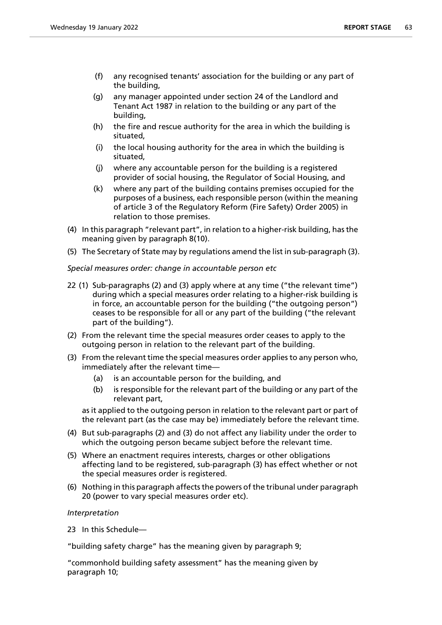- (f) any recognised tenants' association for the building or any part of the building,
- (g) any manager appointed under section 24 of the Landlord and Tenant Act 1987 in relation to the building or any part of the building,
- (h) the fire and rescue authority for the area in which the building is situated,
- (i) the local housing authority for the area in which the building is situated,
- (j) where any accountable person for the building is a registered provider of social housing, the Regulator of Social Housing, and
- (k) where any part of the building contains premises occupied for the purposes of a business, each responsible person (within the meaning of article 3 of the Regulatory Reform (Fire Safety) Order 2005) in relation to those premises.
- (4) In this paragraph "relevant part", in relation to a higher-risk building, has the meaning given by paragraph 8(10).
- (5) The Secretary of State may by regulations amend the list in sub-paragraph (3).

*Special measures order: change in accountable person etc*

- 22 (1) Sub-paragraphs (2) and (3) apply where at any time ("the relevant time") during which a special measures order relating to a higher-risk building is in force, an accountable person for the building ("the outgoing person") ceases to be responsible for all or any part of the building ("the relevant part of the building").
- (2) From the relevant time the special measures order ceases to apply to the outgoing person in relation to the relevant part of the building.
- (3) From the relevant time the special measures order applies to any person who, immediately after the relevant time—
	- (a) is an accountable person for the building, and
	- (b) is responsible for the relevant part of the building or any part of the relevant part,

as it applied to the outgoing person in relation to the relevant part or part of the relevant part (as the case may be) immediately before the relevant time.

- (4) But sub-paragraphs (2) and (3) do not affect any liability under the order to which the outgoing person became subject before the relevant time.
- (5) Where an enactment requires interests, charges or other obligations affecting land to be registered, sub-paragraph (3) has effect whether or not the special measures order is registered.
- (6) Nothing in this paragraph affects the powers of the tribunal under paragraph 20 (power to vary special measures order etc).

# *Interpretation*

23 In this Schedule—

"building safety charge" has the meaning given by paragraph 9;

"commonhold building safety assessment" has the meaning given by paragraph 10;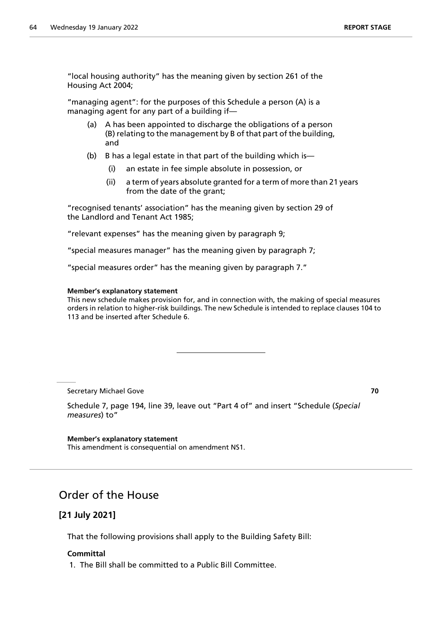"local housing authority" has the meaning given by section 261 of the Housing Act 2004;

"managing agent": for the purposes of this Schedule a person (A) is a managing agent for any part of a building if—

- (a) A has been appointed to discharge the obligations of a person (B) relating to the management by B of that part of the building, and
- (b) B has a legal estate in that part of the building which is—
	- (i) an estate in fee simple absolute in possession, or
	- (ii) a term of years absolute granted for a term of more than 21 years from the date of the grant;

"recognised tenants' association" has the meaning given by section 29 of the Landlord and Tenant Act 1985;

"relevant expenses" has the meaning given by paragraph 9;

"special measures manager" has the meaning given by paragraph 7;

"special measures order" has the meaning given by paragraph 7."

#### **Member's explanatory statement**

This new schedule makes provision for, and in connection with, the making of special measures orders in relation to higher-risk buildings. The new Schedule is intended to replace clauses 104 to 113 and be inserted after Schedule 6.

Secretary Michael Gove **70**

Schedule 7, page 194, line 39, leave out "Part 4 of" and insert "Schedule (*Special measures*) to"

**Member's explanatory statement** This amendment is consequential on amendment NS1.

# Order of the House

# **[21 July 2021]**

That the following provisions shall apply to the Building Safety Bill:

# **Committal**

1. The Bill shall be committed to a Public Bill Committee.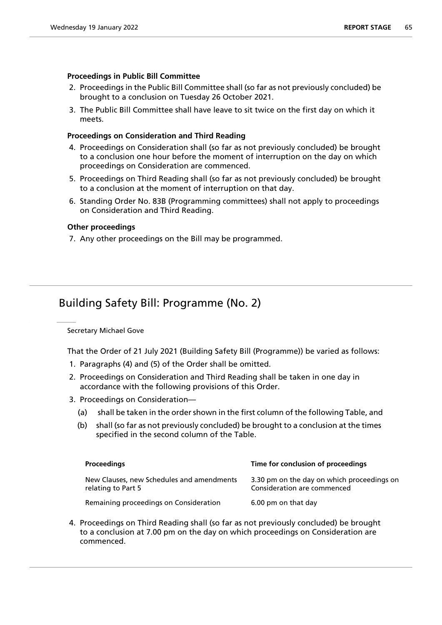# **Proceedings in Public Bill Committee**

- 2. Proceedings in the Public Bill Committee shall (so far as not previously concluded) be brought to a conclusion on Tuesday 26 October 2021.
- 3. The Public Bill Committee shall have leave to sit twice on the first day on which it meets.

# **Proceedings on Consideration and Third Reading**

- 4. Proceedings on Consideration shall (so far as not previously concluded) be brought to a conclusion one hour before the moment of interruption on the day on which proceedings on Consideration are commenced.
- 5. Proceedings on Third Reading shall (so far as not previously concluded) be brought to a conclusion at the moment of interruption on that day.
- 6. Standing Order No. 83B (Programming committees) shall not apply to proceedings on Consideration and Third Reading.

# **Other proceedings**

7. Any other proceedings on the Bill may be programmed.

# Building Safety Bill: Programme (No. 2)

Secretary Michael Gove

That the Order of 21 July 2021 (Building Safety Bill (Programme)) be varied as follows:

- 1. Paragraphs (4) and (5) of the Order shall be omitted.
- 2. Proceedings on Consideration and Third Reading shall be taken in one day in accordance with the following provisions of this Order.
- 3. Proceedings on Consideration—
	- (a) shall be taken in the order shown in the first column of the following Table, and
	- (b) shall (so far as not previously concluded) be brought to a conclusion at the times specified in the second column of the Table.

| <b>Proceedings</b>                                              | Time for conclusion of proceedings                                        |
|-----------------------------------------------------------------|---------------------------------------------------------------------------|
| New Clauses, new Schedules and amendments<br>relating to Part 5 | 3.30 pm on the day on which proceedings on<br>Consideration are commenced |
| Remaining proceedings on Consideration                          | 6.00 pm on that day                                                       |

4. Proceedings on Third Reading shall (so far as not previously concluded) be brought to a conclusion at 7.00 pm on the day on which proceedings on Consideration are commenced.